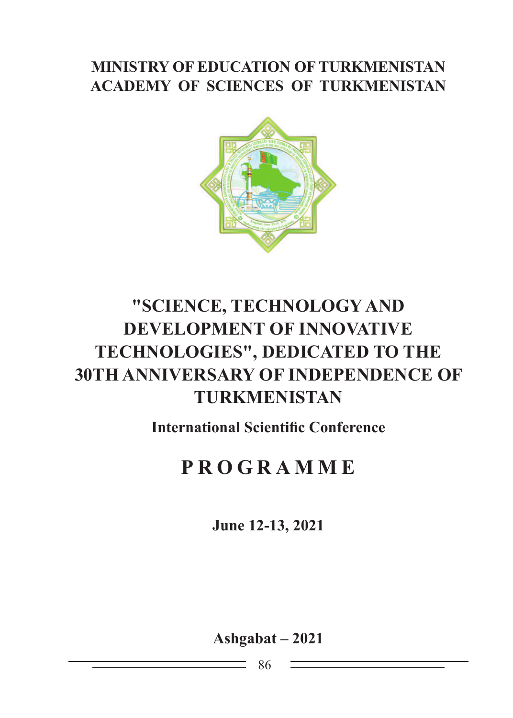### **MINISTRY OF EDUCATION OF TURKMENISTAN ACADEMY OF SCIENCES OF TURKMENISTAN**



# **"SCIENCE, TECHNOLOGY AND DEVELOPMENT OF INNOVATIVE TECHNOLOGIES", DEDICATED TO THE 30TH ANNIVERSARY OF INDEPENDENCE OF TURKMENISTAN**

**International Scientific Conference**

# **P R OG RAMME**

**June 12-13, 2021**

**Ashgabat – 2021**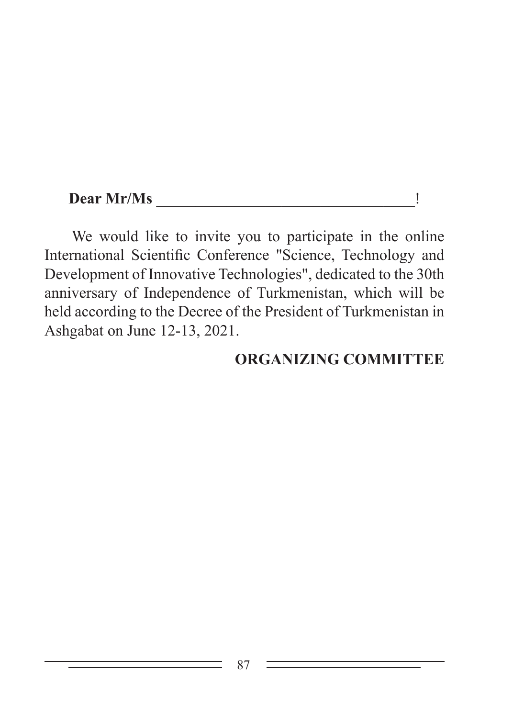#### **Dear Mr/Ms**  $\qquad \qquad$

We would like to invite you to participate in the online International Scientific Conference "Science, Technology and Development of Innovative Technologies", dedicated to the 30th anniversary of Independence of Turkmenistan, which will be held according to the Decree of the President of Turkmenistan in Ashgabat on June 12-13, 2021.

#### **ORGANIZING COMMITTEE**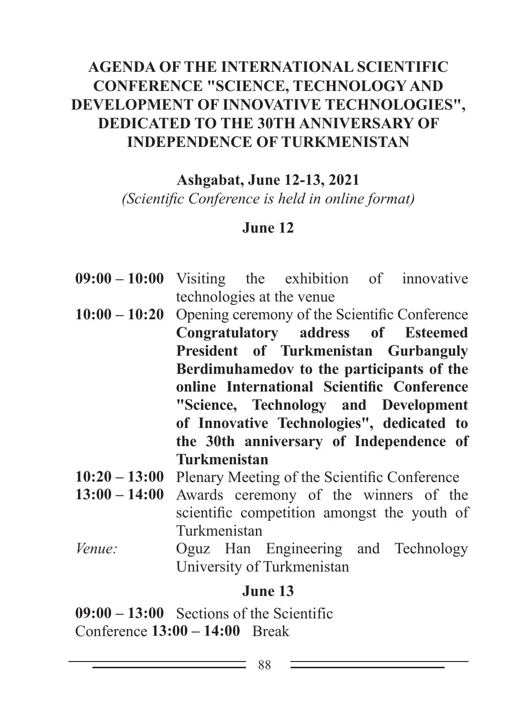### **AGENDA OF THE International SCIENTIFIC CONFERENCE "SCIENCE, TECHNOLOGY AND DEVELOPMENT OF INNOVATIVE TECHNOLOGIES", DEDICATED TO THE 30TH ANNIVERSARY OF INDEPENDENCE OF TURKMENISTAN**

**Ashgabat, June 12-13, 2021**

*(Scientific Conference is held in online format)*

#### **June 12**

- **09:00 10:00** Visiting the exhibition of innovative technologies at the venue
- **10:00 10:20** Opening ceremony of the Scientific Conference **Congratulatory address of Esteemed President of Turkmenistan Gurbanguly Berdimuhamedov to the participants of the online International Scientific Conference "Science, Technology and Development of Innovative Technologies", dedicated to the 30th anniversary of Independence of Turkmenistan**
- **10:20 13:00** Plenary Meeting of the Scientific Conference
- **13:00 14:00** Awards ceremony of the winners of the scientific competition amongst the youth of Turkmenistan
- *Venue:* Oguz Han Engineering and Technology University of Turkmenistan

#### **June 13**

**09:00 – 13:00** Sections of the Scientific Conference **13:00 – 14:00** Break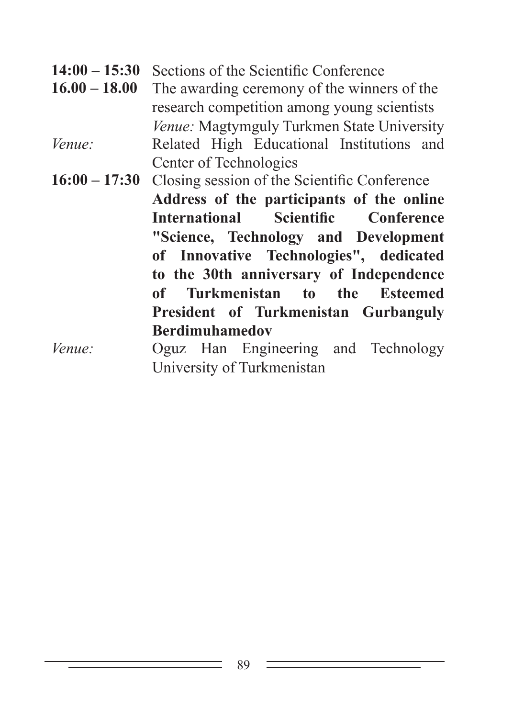14:00 – 15:30 Sections of the Scientific Conference<br>16.00 – 18.00 The awarding ceremony of the winner

- The awarding ceremony of the winners of the research competition among young scientists *Venue:* Magtymguly Turkmen State University *Venue:* Related High Educational Institutions and Center of Technologies
- **16:00 17:30** Closing session of the Scientific Conference **Address of the participants of the online International Scientific Conference "Science, Technology and Development of Innovative Technologies", dedicated to the 30th anniversary of Independence of Turkmenistan to the Esteemed President of Turkmenistan Gurbanguly Berdimuhamedov**

*Venue:* Oguz Han Engineering and Technology University of Turkmenistan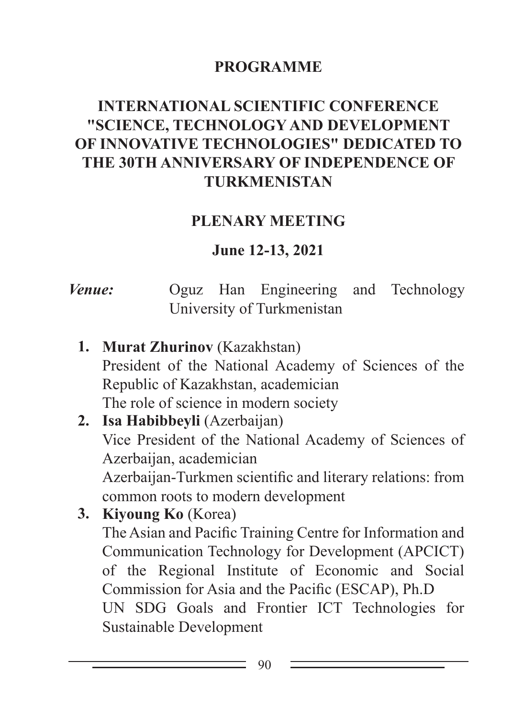#### **PROGRAMME**

## **International SCIENTIFIC CONFERENCE "SCIENCE, TECHNOLOGY AND DEVELOPMENT OF INNOVATIVE TECHNOLOGIES" DEDICATED TO THE 30TH ANNIVERSARY OF INDEPENDENCE OF TURKMENISTAN**

#### **PLENARY MEETING**

#### **June 12-13, 2021**

## *Venue:* Oguz Han Engineering and Technology University of Turkmenistan

**1. Murat Zhurinov** (Kazakhstan) President of the National Academy of Sciences of the Republic of Kazakhstan, academician The role of science in modern society

#### **2. Isa Habibbeyli** (Azerbaijan) Vice President of the National Academy of Sciences of Azerbaijan, academician Azerbaijan-Turkmen scientific and literary relations: from common roots to modern development

**3. Kiyoung Ko** (Korea) The Asian and Pacific Training Centre for Information and Communication Technology for Development (APCICT) of the Regional Institute of Economic and Social Commission for Asia and the Pacific (ESCAP), Ph.D UN SDG Goals and Frontier ICT Technologies for Sustainable Development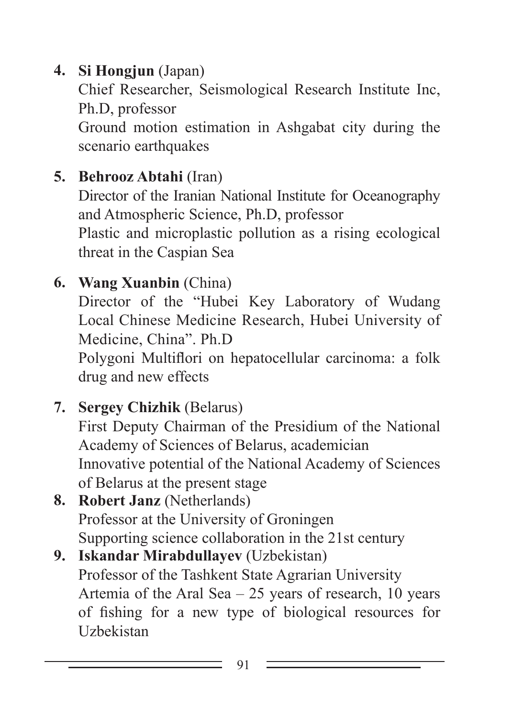# **4. Si Hongjun** (Japan)

Chief Researcher, Seismological Research Institute Inc, Ph.D, professor

Ground motion estimation in Ashgabat city during the scenario earthquakes

# **5. Behrooz Abtahi** (Iran)

Director of the Iranian National Institute for Oceanography and Atmospheric Science, Ph.D, professor

Plastic and microplastic pollution as a rising ecological threat in the Caspian Sea

# **6. Wang Xuanbin** (China)

Director of the "Hubei Key Laboratory of Wudang Local Chinese Medicine Research, Hubei University of Medicine, China". Ph.D

Polygoni Multiflori on hepatocellular carcinoma: a folk drug and new effects

# **7. Sergey Chizhik** (Belarus)

First Deputy Chairman of the Presidium of the National Academy of Sciences of Belarus, academician Innovative potential of the National Academy of Sciences of Belarus at the present stage

- **8. Robert Janz** (Netherlands) Professor at the University of Groningen Supporting science collaboration in the 21st century
- **9. Iskandar Mirabdullayev** (Uzbekistan) Professor of the Tashkent State Agrarian University Artemia of the Aral Sea – 25 years of research, 10 years of fishing for a new type of biological resources for Uzbekistan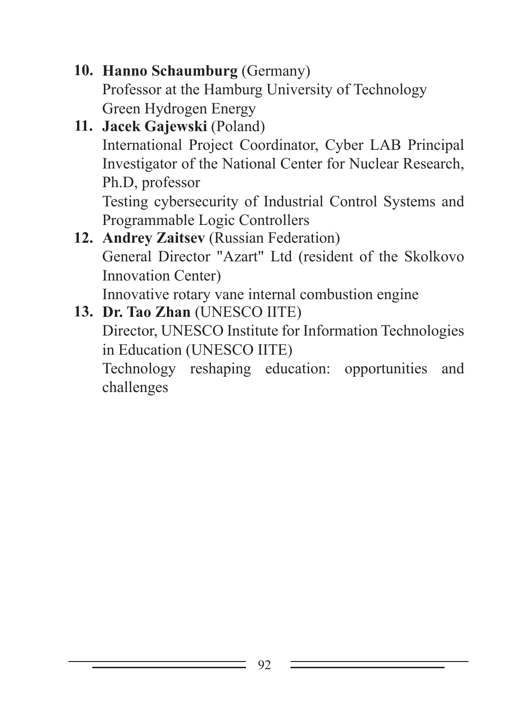**10. Hanno Schaumburg** (Germany) Professor at the Hamburg University of Technology Green Hydrogen Energy

- **11. Jacek Gajewski** (Poland) International Project Coordinator, Cyber LAB Principal Investigator of the National Center for Nuclear Research, Ph.D, professor Testing cybersecurity of Industrial Control Systems and Programmable Logic Controllers
- **12. Andrey Zaitsev** (Russian Federation) General Director "Azart" Ltd (resident of the Skolkovo Innovation Center) Innovative rotary vane internal combustion engine
- **13. Dr. Tao Zhan** (UNESCO IITE) Director, UNESCO Institute for Information Technologies in Education (UNESCO IITE) Technology reshaping education: opportunities and challenges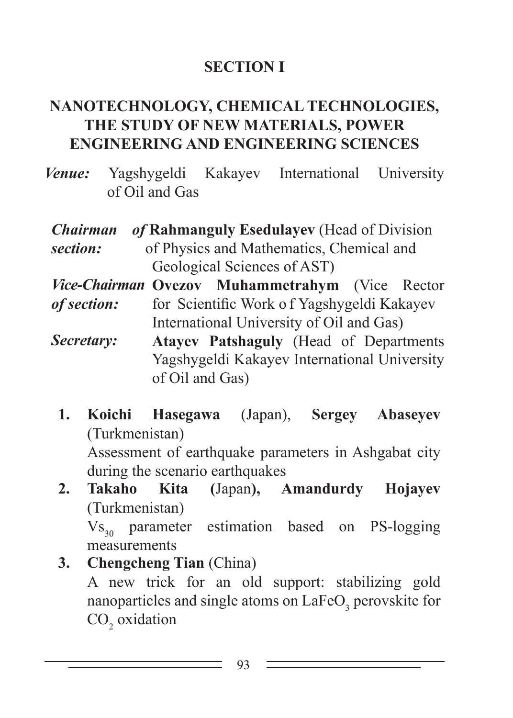## **SECTION I**

### **NANOTECHNOLOGY, CHEMICAL TECHNOLOGIES, THE STUDY OF NEW MATERIALS, POWER ENGINEERING AND engineering SCIENCES**

- *Venue:* Yagshygeldi Kakayev International University of Oil and Gas
- *Chairman section:* **Rahmanguly Esedulayev** (Head of Division of Physics and Mathematics, Chemical and Geological Sciences of AST)
- *Vice-Chairman*  **ovezov Muhammetrahym** (Vice Rector *of section:* for Scientific Work o f Yagshygeldi Kakayev International University of Oil and Gas)
- *Secretary:* **Atayev Patshaguly** (Head of Departments Yagshygeldi Kakayev International University of Oil and Gas)
	- **1. Koichi Hasegawa** (Japan), **Sergey Abaseyev** (Turkmenistan) Assessment of earthquake parameters in Ashgabat city

during the scenario earthquakes

**2. Takaho Kita (**Japan**), Amandurdy Hojayev** (Turkmenistan)

 $V_{S_{20}}$  parameter estimation based on PS-logging measurements

**3. Chengcheng Tian** (China) A new trick for an old support: stabilizing gold nanoparticles and single atoms on  $LaFeO<sub>3</sub>$  perovskite for  $\text{CO}_2$  oxidation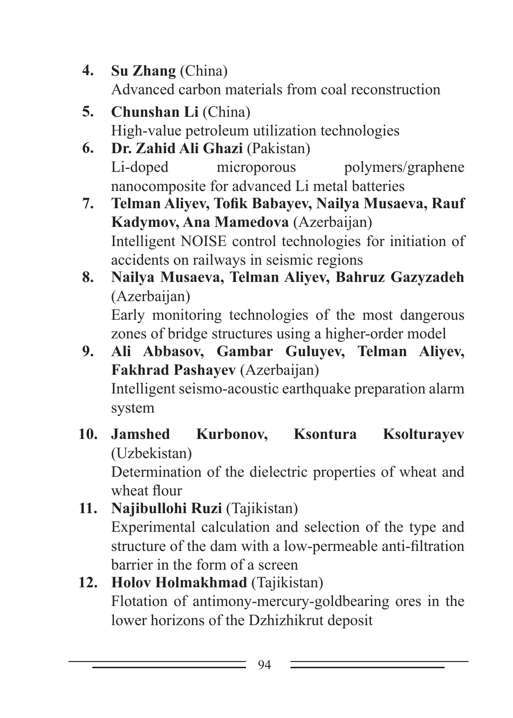- **4. Su Zhang** (China) Advanced carbon materials from coal reconstruction
- **5. Chunshan Li** (China) High-value petroleum utilization technologies
- **6. Dr. Zahid Ali Ghazi** (Pakistan) Li-doped microporous polymers/graphene nanocomposite for advanced Li metal batteries
- **7. Telman Aliyev, Tofik Babayev, Nailya Musaeva, Rauf Kadymov, Ana Mamedova** (Azerbaijan) Intelligent NOISE control technologies for initiation of accidents on railways in seismic regions
- **8. Nailya Musaeva, Telman Aliyev, Bahruz Gazyzadeh**  (Azerbaijan) Early monitoring technologies of the most dangerous

zones of bridge structures using a higher-order model

- **9. Ali Abbasov, Gambar Guluyev, Telman Aliyev, Fakhrad Pashayev** (Azerbaijan) Intelligent seismo-acoustic earthquake preparation alarm system
- **10. Jamshed Kurbonov, Ksontura Ksolturayev** (Uzbekistan) Determination of the dielectric properties of wheat and

wheat flour

**11. Najibullohi Ruzi** (Tajikistan) Experimental calculation and selection of the type and structure of the dam with a low-permeable anti-filtration barrier in the form of a screen

## **12. Holov Holmakhmad** (Tajikistan) Flotation of antimony-mercury-goldbearing ores in the lower horizons of the Dzhizhikrut deposit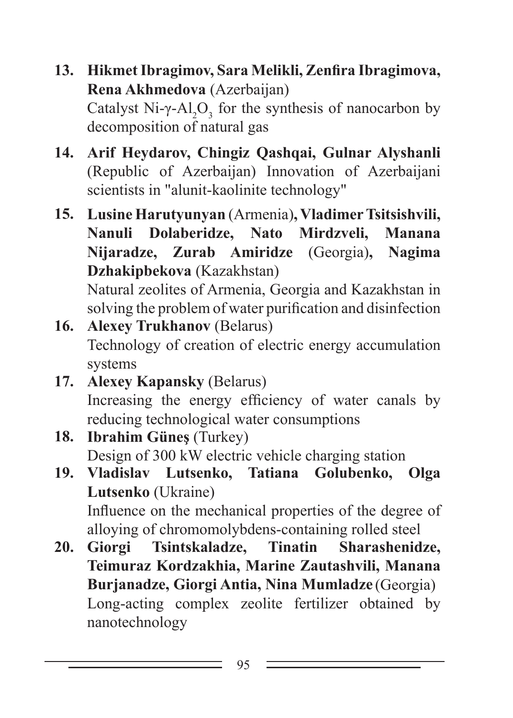- **13. Hikmet Ibragimov, Sara Melikli, Zenfira Ibragimova, Rena Akhmedova** (Azerbaijan) Catalyst Ni- $\gamma$ -Al<sub>2</sub>O<sub>3</sub> for the synthesis of nanocarbon by decomposition of natural gas
- **14. Arif Heydarov, Chingiz Qashqai, Gulnar Alyshanli**  (Republic of Azerbaijan) Innovation of Azerbaijani scientists in "alunit-kaolinite technology"
- **15. Lusine Harutyunyan** (Armenia)**, Vladimer Tsitsishvili, Nanuli Dolaberidze, Nato Mirdzveli, Manana Nijaradze, Zurab Amiridze** (Georgia)**, Nagima Dzhakipbekova** (Kazakhstan) Natural zeolites of Armenia, Georgia and Kazakhstan in

solving the problem of water purification and disinfection

- **16. Alexey Trukhanov** (Belarus) Technology of creation of electric energy accumulation systems
- **17. Аlexey Kapansky** (Belarus) Increasing the energy efficiency of water canals by reducing technological water consumptions
- **18. Ibrahim Güneş** (Turkey) Design of 300 kW electric vehicle charging station
- **19. Vladislav Lutsenko, Tatiana Golubenko, Olga Lutsenko** (Ukraine) Influence on the mechanical properties of the degree of
- alloying of chromomolybdens-containing rolled steel **20. Giorgi Tsintskaladze, Tinatin Sharashenidze, Teimuraz Kordzakhia, Marine Zautashvili, Manana Burjanadze, Giorgi Antia, Nina Mumladze** (Georgia) Long-acting complex zeolite fertilizer obtained by nanotechnology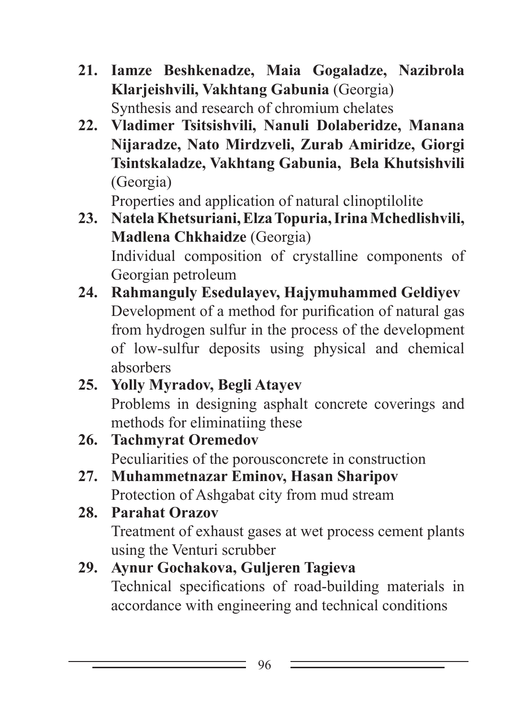- **21. Iamze Beshkenadze, Maia Gogaladze, Nazibrola Klarjeishvili, Vakhtang Gabunia** (Georgia) Synthesis and research of chromium chelates
- **22. Vladimer Tsitsishvili, Nanuli Dolaberidze, Manana Nijaradze, Nato Mirdzveli, Zurab Amiridze, Giorgi Tsintskaladze, Vakhtang Gabunia, Bela Khutsishvili**  (Georgia)

Properties and application of natural clinoptilolite

- **23. Natela Khetsuriani, Elza Topuria, Irina Mchedlishvili, Madlena Chkhaidze** (Georgia) Individual composition of crystalline components of Georgian petroleum
- **24. Rahmanguly Esedulayev, Hajymuhammed Geldiyev** Development of a method for purification of natural gas from hydrogen sulfur in the process of the development of low-sulfur deposits using physical and chemical absorbers
- **25. Yolly Myradov, Begli Atayev** Problems in designing asphalt concrete coverings and methods for eliminatiing these
- **26. Tachmyrat Oremedov** Peculiarities of the porousconcrete in construction
- **27. Muhammetnazar Eminov, Hasan Sharipov** Protection of Ashgabat city from mud stream
- **28. Parahat Orazov** Treatment of exhaust gases at wet process cement plants using the Venturi scrubber

# **29. Aynur Gochakova, Guljeren Tagieva**

Technical specifications of road-building materials in accordance with engineering and technical conditions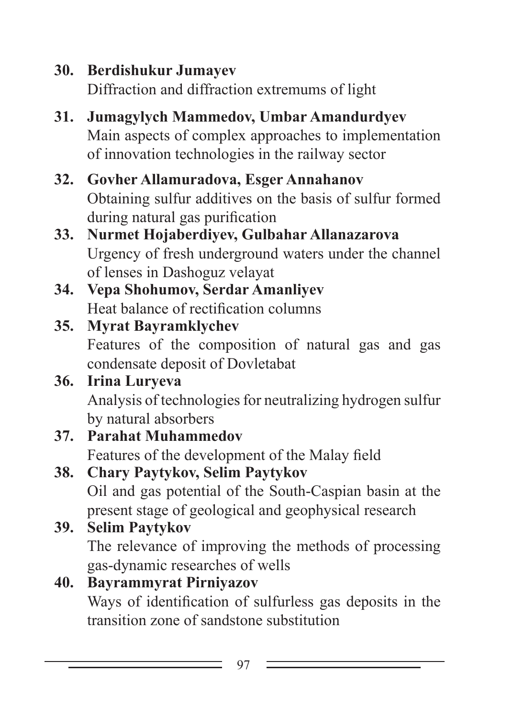**30. Berdishukur Jumayev** Diffraction and diffraction extremums of light

- **31. Jumagylych Mammedov, Umbar Amandurdyev** Main aspects of complex approaches to implementation of innovation technologies in the railway sector
- **32. Govher Allamuradova, Esger Annahanov** Obtaining sulfur additives on the basis of sulfur formed during natural gas purification
- **33. Nurmet Hojaberdiyev, Gulbahar Allanazarova** Urgency of fresh underground waters under the channel of lenses in Dashoguz velayat
- **34. Vepa Shohumov, Serdar Amanliyev** Heat balance of rectification columns

# **35. Myrat Bayramklychev**

Features of the composition of natural gas and gas condensate deposit of Dovletabat

#### **36. Irina Luryeva** Analysis of technologies for neutralizing hydrogen sulfur by natural absorbers

**37. Parahat Muhammedov** Features of the development of the Malay field

# **38. Chary Paytykov, Selim Paytykov**

Oil and gas potential of the South-Caspian basin at the present stage of geological and geophysical research

# **39. Selim Paytykov**

The relevance of improving the methods of processing gas-dynamic researches of wells

# **40. Bayrammyrat Pirniyazov**

Ways of identification of sulfurless gas deposits in the transition zone of sandstone substitution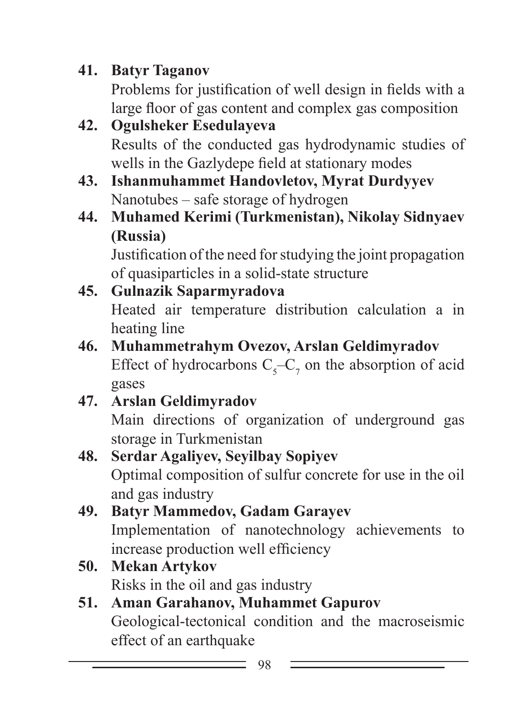**41. Batyr Taganov**

Problems for justification of well design in fields with a large floor of gas content and complex gas composition

- **42. Ogulsheker Esedulayeva** Results of the conducted gas hydrodynamic studies of wells in the Gazlydepe field at stationary modes
- **43. Ishanmuhammet Handovletov, Myrat Durdyyev** Nanotubes – safe storage of hydrogen
- **44. Muhamed Kerimi (Turkmenistan), Nikolay Sidnyaev (Russia)**

Justification of the need for studying the joint propagation of quasiparticles in a solid-state structure

## **45. Gulnazik Saparmyradova** Heated air temperature distribution calculation a in heating line

- **46. Muhammetrahym Ovezov, Arslan Geldimyradov** Effect of hydrocarbons  $C_5 - C_7$  on the absorption of acid gases
- **47. Arslan Geldimyradov**

Main directions of organization of underground gas storage in Turkmenistan

- **48. Serdar Agaliyev, Seyilbay Sopiyev** Optimal composition of sulfur concrete for use in the oil and gas industry
- **49. Batyr Mammedov, Gadam Garayev** Implementation of nanotechnology achievements to increase production well efficiency
- **50. Mekan Artykov** Risks in the oil and gas industry
- **51. Aman Garahanov, Muhammet Gapurov** Geological-tectonical condition and the macroseismic effect of an earthquake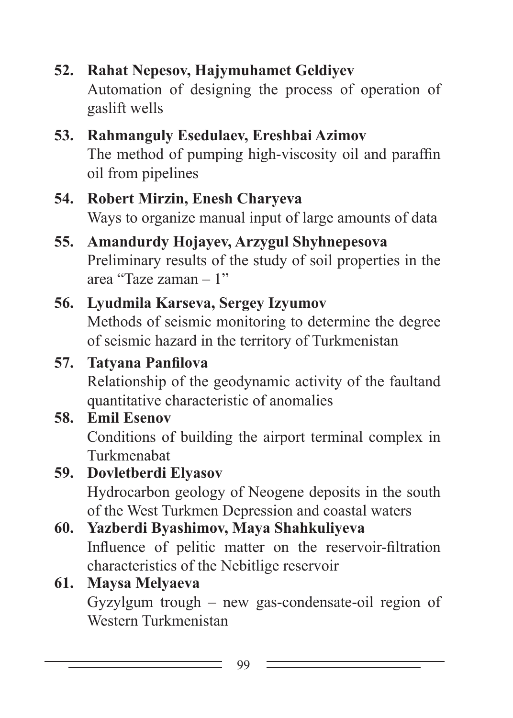**52. Rahat Nepesov, Hajymuhamet Geldiyev**

Automation of designing the process of operation of gaslift wells

#### **53. Rahmanguly Esedulaev, Ereshbai Azimov** The method of pumping high-viscosity oil and paraffin oil from pipelines

#### **54. Robert Mirzin, Enesh Charyeva** Ways to organize manual input of large amounts of data

### **55. Amandurdy Hojayev, Arzygul Shyhnepesova** Preliminary results of the study of soil properties in the area "Taze zaman – 1"

# **56. Lyudmila Karseva, Sergey Izyumov**

Methods of seismic monitoring to determine the degree of seismic hazard in the territory of Turkmenistan

# **57. Tatyana Panfilova**

Relationship of the geodynamic activity of the faultand quantitative characteristic of anomalies

# **58. Emil Esenov**

Conditions of building the airport terminal complex in Turkmenabat

# **59. Dovletberdi Elyasov**

Hydrocarbon geology of Neogene deposits in the south of the West Turkmen Depression and coastal waters

# **60. Yazberdi Byashimov, Maya Shahkuliyeva**

Influence of pelitic matter on the reservoir-filtration characteristics of the Nebitlige reservoir

# **61. Maysa Melyaeva**

Gyzylgum trough – new gas-condensate-oil region of Western Turkmenistan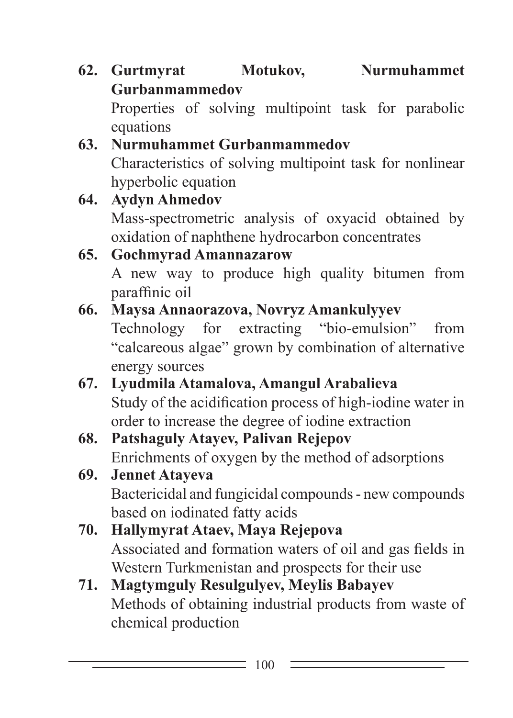**62. Gurtmyrat Motukov, Nurmuhammet Gurbanmammedov** 

Properties of solving multipoint task for parabolic equations

## **63. Nurmuhammet Gurbanmammedov** Characteristics of solving multipoint task for nonlinear hyperbolic equation

**64. Aydyn Ahmedov** Mass-spectrometric analysis of oxyacid obtained by oxidation of naphthene hydrocarbon concentrates **65. Gochmyrad Amannazarow**

# A new way to produce high quality bitumen from paraffinic oil

# **66. Maysa Annaorazova, Novryz Amankulyyev**

Technology for extracting "bio-emulsion" from "calcareous algae" grown by combination of alternative energy sources

- **67. Lyudmila Atamalova, Amangul Arabalieva** Study of the acidification process of high-iodine water in order to increase the degree of iodine extraction
- **68. Patshaguly Atayev, Palivan Rejepov** Enrichments of oxygen by the method of adsorptions
- **69. Jennet Atayeva** Bactericidal and fungicidal compounds - new compounds based on iodinated fatty acids
- **70. Hallymyrat Ataev, Maya Rejepova** Associated and formation waters of oil and gas fields in Western Turkmenistan and prospects for their use
- **71. Magtymguly Resulgulyev, Meylis Babayev** Methods of obtaining industrial products from waste of chemical production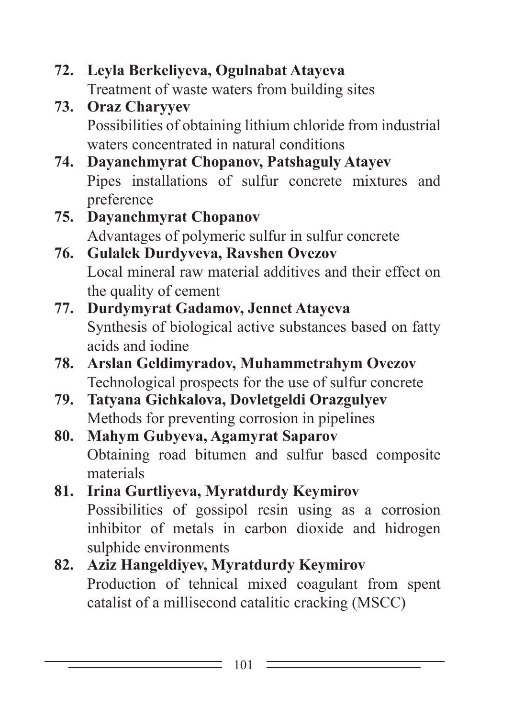```
72. Leyla Berkeliyeva, Ogulnabat Atayeva
Treatment of waste waters from building sites
```
- **73. Oraz Charyyev** Possibilities of obtaining lithium chloride from industrial waters concentrated in natural conditions
- **74. Dayanchmyrat Chopanov, Patshaguly Atayev** Pipes installations of sulfur concrete mixtures and preference
- **75. Dayanchmyrat Chopanov** Advantages of polymeric sulfur in sulfur concrete
- **76. Gulalek Durdyveva, Ravshen Ovezov** Local mineral raw material additives and their effect on the quality of cement
- **77. Durdymyrat Gadamov, Jennet Atayeva** Synthesis of biological active substances based on fatty acids and iodine
- **78. Arslan Geldimyradov, Muhammetrahym Ovezov** Technological prospects for the use of sulfur concrete
- **79. Tatyana Gichkalova, Dovletgeldi Orazgulyev** Methods for preventing corrosion in pipelines
- **80. Mahym Gubyeva, Agamyrat Saparov** Obtaining road bitumen and sulfur based composite materials
- **81. Irina Gurtliyeva, Myratdurdy Keymirov** Possibilities of gossipol resin using as a corrosion inhibitor of metals in carbon dioxide and hidrogen sulphide environments

```
82. Aziz Hangeldiyev, Myratdurdy Keymirov
Production of tehnical mixed coagulant from spent 
catalist of a millisecond catalitic cracking (MSCC)
```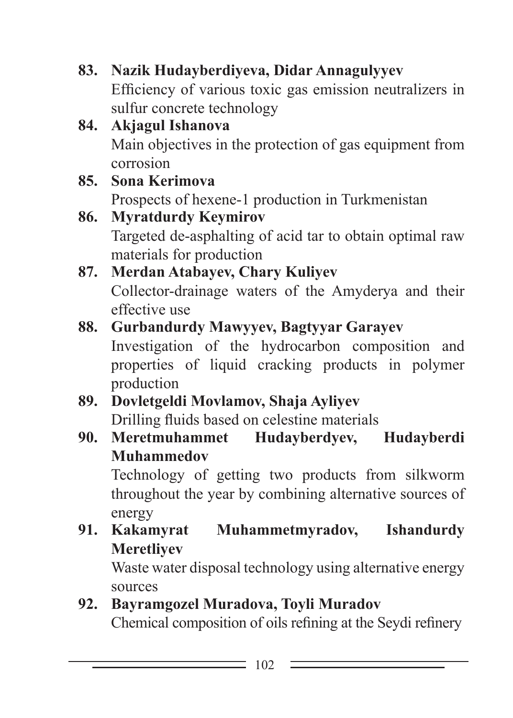**83. Nazik Hudayberdiyeva, Didar Annagulyyev** Efficiency of various toxic gas emission neutralizers in sulfur concrete technology

- **84. Akjagul Ishanova** Main objectives in the protection of gas equipment from corrosion
- **85. Sona Kerimova** Prospects of hexene-1 production in Turkmenistan
- **86. Myratdurdy Keymirov** Targeted de-asphalting of acid tar to obtain optimal raw materials for production
- **87. Merdan Atabayev, Chary Kuliyev** Collector-drainage waters of the Amyderya and their effective use

## **88. Gurbandurdy Mawyyev, Bagtyyar Garayev**

Investigation of the hydrocarbon composition and properties of liquid cracking products in polymer production

- **89. Dovletgeldi Movlamov, Shaja Ayliyev** Drilling fluids based on celestine materials
- **90. Meretmuhammet Hudayberdyev, Hudayberdi Muhammedov**

Technology of getting two products from silkworm throughout the year by combining alternative sources of energy

**91. Kakamyrat Muhammetmyradov, Ishandurdy Meretliyev**

Waste water disposal technology using alternative energy sources

**92. Bayramgozel Muradova, Toyli Muradov** Chemical composition of oils refining at the Seydi refinery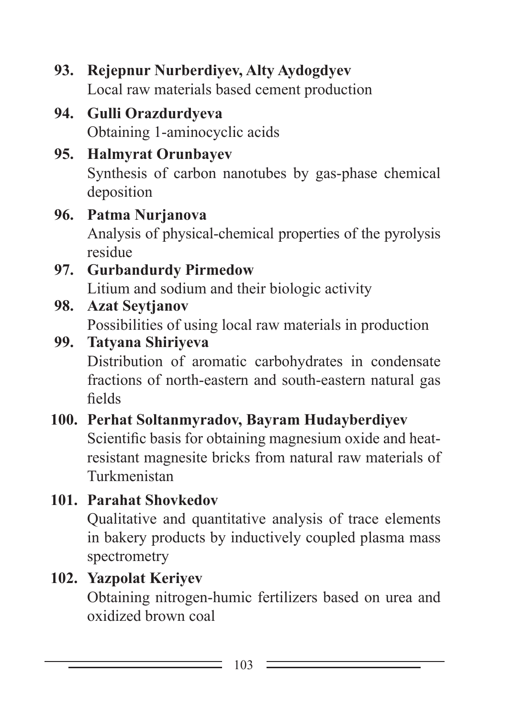**93. Rejepnur Nurberdiyev, Alty Aydogdyev** Local raw materials based cement production

**94. Gulli Orazdurdyeva** Obtaining 1-aminocyclic acids

# **95. Halmyrat Orunbayev**

Synthesis of carbon nanotubes by gas-phase chemical deposition

## **96. Patma Nurjanova**

Analysis of physical-chemical properties of the pyrolysis residue

## **97. Gurbandurdy Pirmedow**

Litium and sodium and their biologic activity

## **98. Azat Seytjanov**

Possibilities of using local raw materials in production

#### **99. Tatyana Shiriyeva**

Distribution of aromatic carbohydrates in condensate fractions of north-eastern and south-eastern natural gas fields

## **100. Perhat Soltanmyradov, Bayram Hudayberdiyev**

Scientific basis for obtaining magnesium oxide and heatresistant magnesite bricks from natural raw materials of Turkmenistan

# **101. Parahat Shovkedov**

Qualitative and quantitative analysis of trace elements in bakery products by inductively coupled plasma mass spectrometry

## **102. Yazpolat Keriyev**

Obtaining nitrogen-humic fertilizers based on urea and oxidized brown coal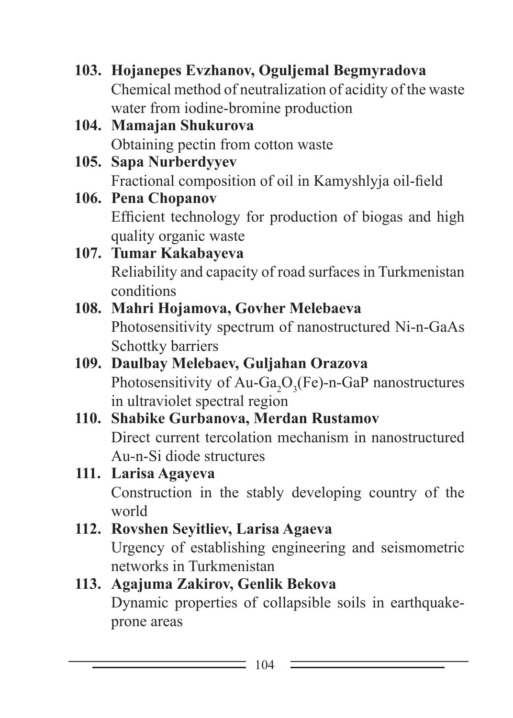- **103. Hojanepes Evzhanov, Oguljemal Begmyradova** Chemical method of neutralization of acidity of the waste water from iodine-bromine production
- **104. Mamajan Shukurova** Obtaining pectin from cotton waste
- **105. Sapa Nurberdyyev** Fractional composition of oil in Kamyshlyja oil-field
- **106. Pena Chopanov** Efficient technology for production of biogas and high quality organic waste
- **107. Tumar Kakabayeva** Reliability and capacity of road surfaces in Turkmenistan conditions
- **108. Mahri Hojamova, Govher Melebaeva** Photosensitivity spectrum of nanostructured Ni-n-GaAs Schottky barriers
- **109. Daulbay Melebaev, Guljahan Orazova** Photosensitivity of Au-Ga<sub>2</sub>O<sub>3</sub>(Fe)-n-GaP nanostructures in ultraviolet spectral region

#### **110. Shabike Gurbanova, Merdan Rustamov** Direct current tercolation mechanism in nanostructured Au-n-Si diode structures

# **111. Larisa Agayeva** Construction in the stably developing country of the world

## **112. Rovshen Seyitliev, Larisa Agaeva** Urgency of establishing engineering and seismometric networks in Turkmenistan

#### **113. Agajuma Zakirov, Genlik Bekova** Dynamic properties of collapsible soils in earthquakeprone areas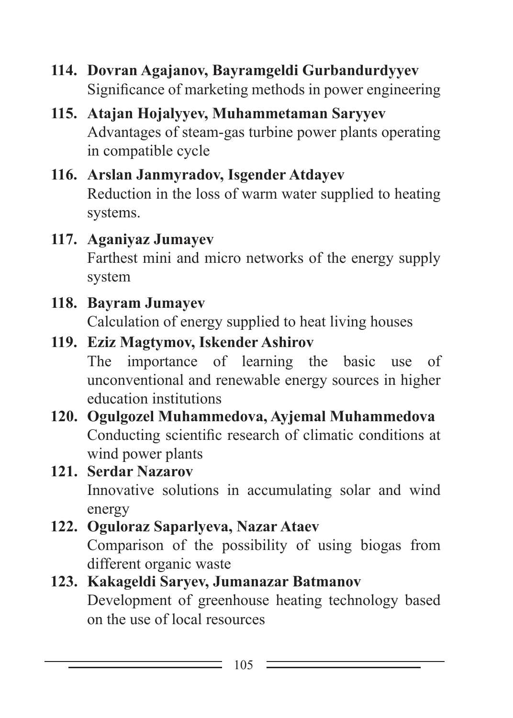- **114. Dovran Agajanov, Bayramgeldi Gurbandurdyyev** Significance of marketing methods in power engineering
- **115. Atajan Hojalyyev, Muhammetaman Saryyev** Advantages of steam-gas turbine power plants operating in compatible cycle
- **116. Arslan Janmyradov, Isgender Atdayev** Reduction in the loss of warm water supplied to heating systems.
- **117. Aganiyaz Jumayev**

Farthest mini and micro networks of the energy supply system

# **118. Bayram Jumayev**

Calculation of energy supplied to heat living houses

# **119. Eziz Magtymov, Iskender Ashirov**

The importance of learning the basic use of unconventional and renewable energy sources in higher education institutions

**120. Ogulgozel Muhammedova, Ayjemal Muhammedova** Conducting scientific research of climatic conditions at wind power plants

# **121. Serdar Nazarov**

Innovative solutions in accumulating solar and wind energy

# **122. Oguloraz Saparlyeva, Nazar Ataev**

Comparison of the possibility of using biogas from different organic waste

## **123. Kakageldi Saryev, Jumanazar Batmanov**

Development of greenhouse heating technology based on the use of local resources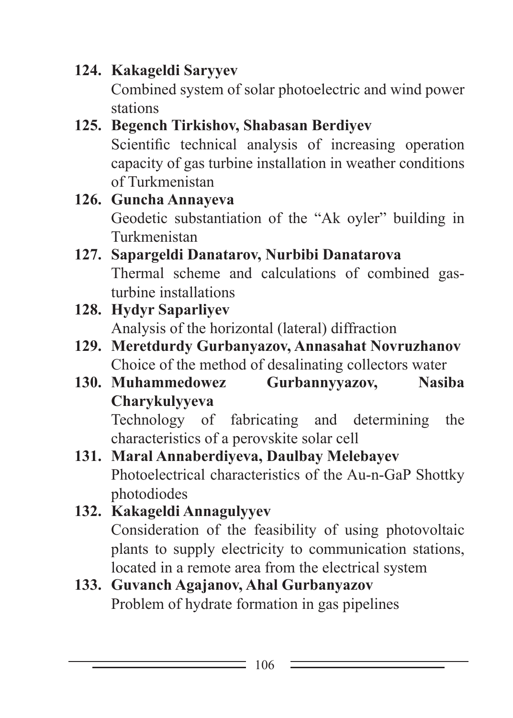# **124. Kakageldi Saryyev**

Combined system of solar photoelectric and wind power stations

- **125. Begench Tirkishov, Shabasan Berdiyev** Scientific technical analysis of increasing operation capacity of gas turbine installation in weather conditions of Turkmenistan
- **126. Guncha Annayeva** Geodetic substantiation of the "Ak oyler" building in Turkmenistan
- **127. Sapargeldi Danatarov, Nurbibi Danatarova** Thermal scheme and calculations of combined gasturbine installations
- **128. Hydyr Saparliyev** Analysis of the horizontal (lateral) diffraction
- **129. Meretdurdy Gurbanyazov, Annasahat Novruzhanov** Choice of the method of desalinating collectors water
- **130. Muhammedowez Gurbannyyazov, Nasiba Charykulyyeva**

Technology of fabricating and determining the characteristics of a perovskite solar cell

- **131. Maral Annaberdiyeva, Daulbay Melebayev** Photoelectrical characteristics of the Au-n-GaP Shottky photodiodes
- **132. Kakageldi Annagulyyev** Consideration of the feasibility of using photovoltaic plants to supply electricity to communication stations, located in a remote area from the electrical system

## **133. Guvanch Agajanov, Ahal Gurbanyazov** Problem of hydrate formation in gas pipelines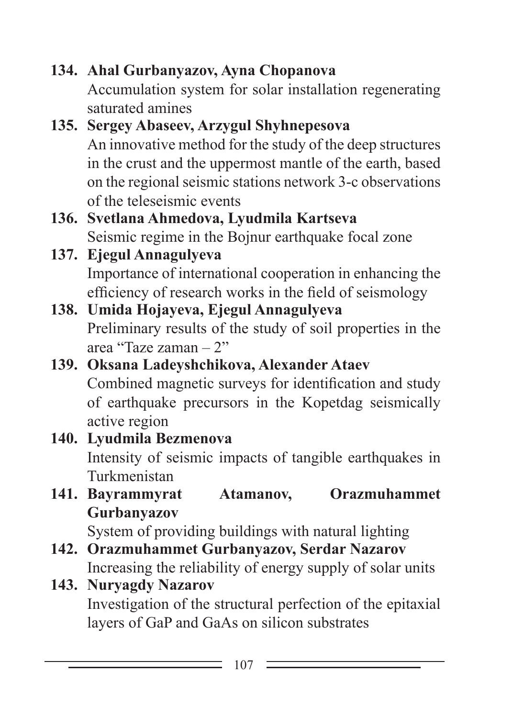```
134. Ahal Gurbanyazov, Ayna Chopanova
 Accumulation system for solar installation regenerating 
 saturated amines
```
### **135. Sergey Abaseev, Arzygul Shyhnepesova** An innovative method for the study of the deep structures in the crust and the uppermost mantle of the earth, based on the regional seismic stations network 3-c observations of the teleseismic events

## **136. Svetlana Ahmedova, Lyudmila Kartseva** Seismic regime in the Bojnur earthquake focal zone

**137. Ejegul Annagulyeva** Importance of international cooperation in enhancing the efficiency of research works in the field of seismology

#### **138. Umida Hojayeva, Ejegul Annagulyeva** Preliminary results of the study of soil properties in the area "Taze zaman – 2"

**139. Oksana Ladeyshchikova, Alexander Ataev** Combined magnetic surveys for identification and study of earthquake precursors in the Kopetdag seismically active region

## **140. Lyudmila Bezmenova** Intensity of seismic impacts of tangible earthquakes in Turkmenistan

**141. Bayrammyrat Atamanov, Orazmuhammet Gurbanyazov**

System of providing buildings with natural lighting

**142. Orazmuhammet Gurbanyazov, Serdar Nazarov** Increasing the reliability of energy supply of solar units

#### **143. Nuryagdy Nazarov** Investigation of the structural perfection of the epitaxial layers of GaP and GaAs on silicon substrates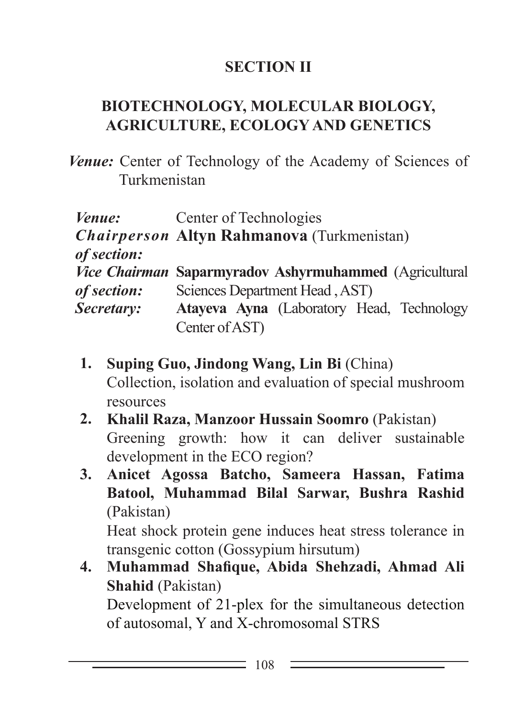## **SECTION II**

## **BIOTECHNOLOGY, MOLECULAR BIOLOGY, AGRICULTURE, ECOLOGY AND GENETICS**

*Venue:* Center of Technology of the Academy of Sciences of Turkmenistan

| <i>Venue:</i> | Center of Technologies                                 |
|---------------|--------------------------------------------------------|
|               | Chairperson Altyn Rahmanova (Turkmenistan)             |
| of section:   |                                                        |
|               | Vice Chairman Saparmyradov Ashyrmuhammed (Agricultural |
| of section:   | Sciences Department Head, AST)                         |
| Secretary:    | Atayeva Ayna (Laboratory Head, Technology              |
|               | Center of AST)                                         |

- **1. Suping Guo, Jindong Wang, Lin Bi** (China) Collection, isolation and evaluation of special mushroom resources
- **2. Khalil Raza, Manzoor Hussain Soomro** (Pakistan) Greening growth: how it can deliver sustainable development in the ECO region?
- **3. Anicet Agossa Batcho, Sameera Hassan, Fatima Batool, Muhammad Bilal Sarwar, Bushra Rashid** (Pakistan) Heat shock protein gene induces heat stress tolerance in

transgenic cotton (Gossypium hirsutum)

**4. Muhammad Shafique, Abida Shehzadi, Ahmad Ali Shahid** (Pakistan) Development of 21-plex for the simultaneous detection of autosomal, Y and X-chromosomal STRS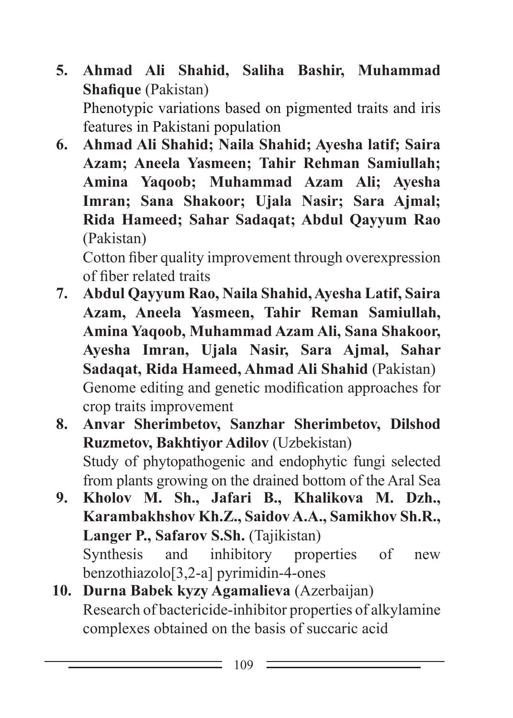- **5. Ahmad Ali Shahid, Saliha Bashir, Muhammad Shafique** (Pakistan) Phenotypic variations based on pigmented traits and iris features in Pakistani population
- **6. Ahmad Ali Shahid; Naila Shahid; Ayesha latif; Saira Azam; Aneela Yasmeen; Tahir Rehman Samiullah; Amina Yaqoob; Muhammad Azam Ali; Ayesha Imran; Sana Shakoor; Ujala Nasir; Sara Ajmal; Rida Hameed; Sahar Sadaqat; Abdul Qayyum Rao** (Pakistan)

Cotton fiber quality improvement through overexpression of fiber related traits

- **7. Abdul Qayyum Rao, Naila Shahid, Ayesha Latif, Saira Azam, Aneela Yasmeen, Tahir Reman Samiullah, Amina Yaqoob, Muhammad Azam Ali, Sana Shakoor, Ayesha Imran, Ujala Nasir, Sara Ajmal, Sahar Sadaqat, Rida Hameed, Ahmad Ali Shahid** (Pakistan) Genome editing and genetic modification approaches for crop traits improvement
- **8. Anvar Sherimbetov, Sanzhar Sherimbetov, Dilshod Ruzmetov, Bakhtiyor Adilov** (Uzbekistan) Study of phytopathogenic and endophytic fungi selected from plants growing on the drained bottom of the Aral Sea
- **9. Kholov M. Sh., Jafari B., Khalikova M. Dzh., Karambakhshov Kh.Z., Saidov A.A., Samikhov Sh.R., Langer P., Safarov S.Sh.** (Tajikistan) Synthesis and inhibitory properties of new benzothiazolo[3,2-a] pyrimidin-4-ones
- **10. Durna Babek kyzy Agamalieva** (Azerbaijan) Research of bactericide-inhibitor properties of alkylamine complexes obtained on the basis of succaric acid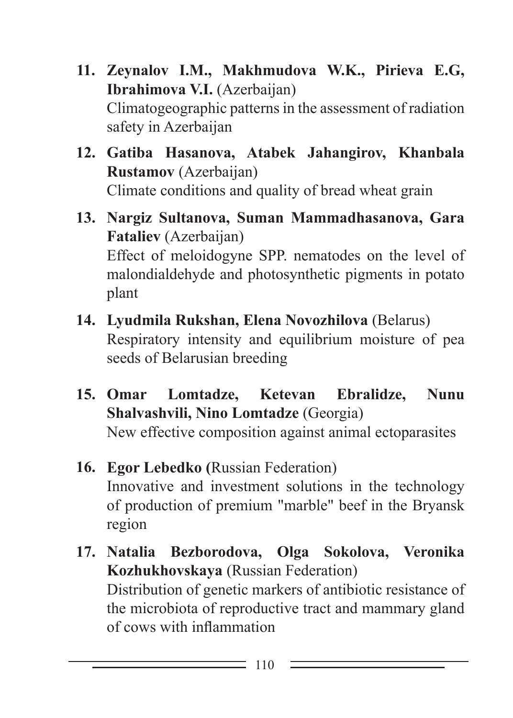- **11. Zeynalov I.M., Makhmudova W.K., Pirieva E.G, Ibrahimova V.I.** (Azerbaijan) Climatogeographic patterns in the assessment of radiation safety in Azerbaijan
- **12. Gatiba Hasanova, Atabek Jahangirov, Khanbala Rustamov** (Azerbaijan) Climate conditions and quality of bread wheat grain
- **13. Nargiz Sultanova, Suman Mammadhasanova, Gara Fataliev** (Azerbaijan) Effect of meloidogyne SPP. nematodes on the level of malondialdehyde and photosynthetic pigments in potato plant
- **14. Lyudmila Rukshan, Elena Novozhilova** (Belarus) Respiratory intensity and equilibrium moisture of pea seeds of Belarusian breeding
- **15. Omar Lomtadze, Ketevan Ebralidze, Nunu Shalvashvili, Nino Lomtadze** (Georgia) New effective composition against animal ectoparasites
- **16. Egor Lebedko (**Russian Federation) Innovative and investment solutions in the technology of production of premium "marble" beef in the Bryansk region
- **17. Natalia Bezborodova, Olga Sokolova, Veronika Kozhukhovskaya** (Russian Federation) Distribution of genetic markers of antibiotic resistance of the microbiota of reproductive tract and mammary gland of cows with inflammation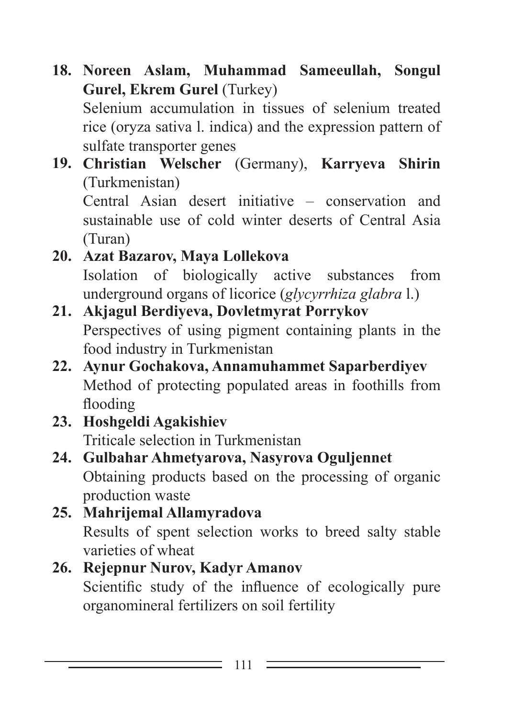**18. Noreen Aslam, Muhammad Sameeullah, Songul Gurel, Ekrem Gurel** (Turkey)

Selenium accumulation in tissues of selenium treated rice (oryza sativa l. indica) and the expression pattern of sulfate transporter genes

**19. Christian Welscher** (Germany), **Karryeva Shirin** (Turkmenistan) Central Asian desert initiative – conservation and sustainable use of cold winter deserts of Central Asia

(Turan)

- **20. Azat Bazarov, Maya Lollekova** Isolation of biologically active substances from underground organs of licorice (*glycyrrhiza glabra* l.)
- **21. Akjagul Berdiyeva, Dovletmyrat Porrykov** Perspectives of using pigment containing plants in the food industry in Turkmenistan
- **22. Aynur Gochakova, Annamuhammet Saparberdiyev** Method of protecting populated areas in foothills from flooding
- **23. Hoshgeldi Agakishiev** Triticale selection in Turkmenistan
- **24. Gulbahar Ahmetyarova, Nasyrova Oguljennet** Obtaining products based on the processing of organic production waste
- **25. Mahrijemal Allamyradova** Results of spent selection works to breed salty stable varieties of wheat
- **26. Rejepnur Nurov, Kadyr Amanov** Scientific study of the influence of ecologically pure organomineral fertilizers on soil fertility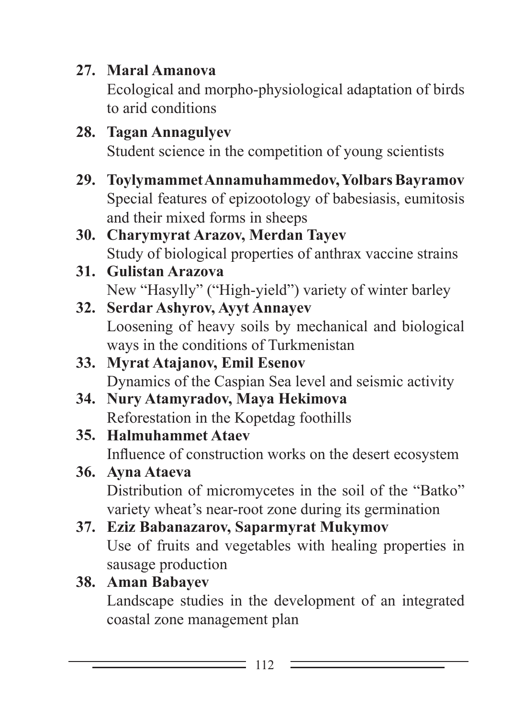**27. Maral Amanova**

Ecological and morpho-physiological adaptation of birds to arid conditions

- **28. Tagan Annagulyev** Student science in the competition of young scientists
- **29. Toylymammet Annamuhammedov, Yolbars Bayramov** Special features of epizootology of babesiasis, eumitosis and their mixed forms in sheeps
- **30. Charymyrat Arazov, Merdan Tayev** Study of biological properties of anthrax vaccine strains
- **31. Gulistan Arazova** New "Hasylly" ("High-yield") variety of winter barley
- **32. Serdar Ashyrov, Ayyt Annayev** Loosening of heavy soils by mechanical and biological ways in the conditions of Turkmenistan
- **33. Myrat Atajanov, Emil Esenov** Dynamics of the Caspian Sea level and seismic activity
- **34. Nury Atamyradov, Maya Hekimova** Reforestation in the Kopetdag foothills
- **35. Halmuhammet Ataev** Influence of construction works on the desert ecosystem
- **36. Ayna Ataeva** Distribution of micromycetes in the soil of the "Batko" variety wheat's near-root zone during its germination
- **37. Eziz Babanazarov, Saparmyrat Mukymov** Use of fruits and vegetables with healing properties in sausage production

# **38. Aman Babayev**

Landscape studies in the development of an integrated coastal zone management plan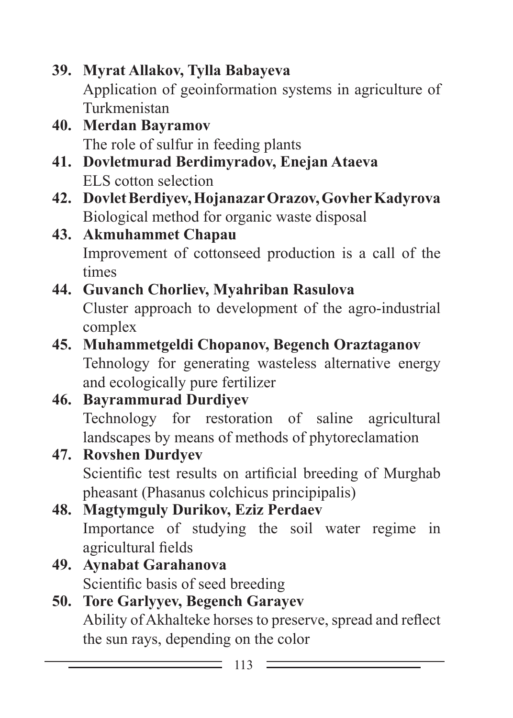**39. Myrat Allakov, Tylla Babayeva** Application of geoinformation systems in agriculture of Turkmenistan

- **40. Merdan Bayramov** The role of sulfur in feeding plants
- **41. Dovletmurad Berdimyradov, Enejan Ataeva** ELS cotton selection
- **42. Dovlet Berdiyev, Hojanazar Orazov, Govher Kadyrova** Biological method for organic waste disposal

### **43. Akmuhammet Chapau** Improvement of cottonseed production is a call of the times

#### **44. Guvanch Chorliev, Myahriban Rasulova** Cluster approach to development of the agro-industrial complex

## **45. Muhammetgeldi Chopanov, Begench Oraztaganov** Tehnology for generating wasteless alternative energy and ecologically pure fertilizer

## **46. Bayrammurad Durdiyev** Technology for restoration of saline agricultural landscapes by means of methods of phytoreclamation

#### **47. Rovshen Durdyev** Scientific test results on artificial breeding of Murghab pheasant (Phasanus colchicus principipalis)

# **48. Magtymguly Durikov, Eziz Perdaev** Importance of studying the soil water regime in agricultural fields

**49. Aynabat Garahanova** Scientific basis of seed breeding

# **50. Tore Garlyyev, Begench Garayev** Ability of Akhalteke horses to preserve, spread and reflect the sun rays, depending on the color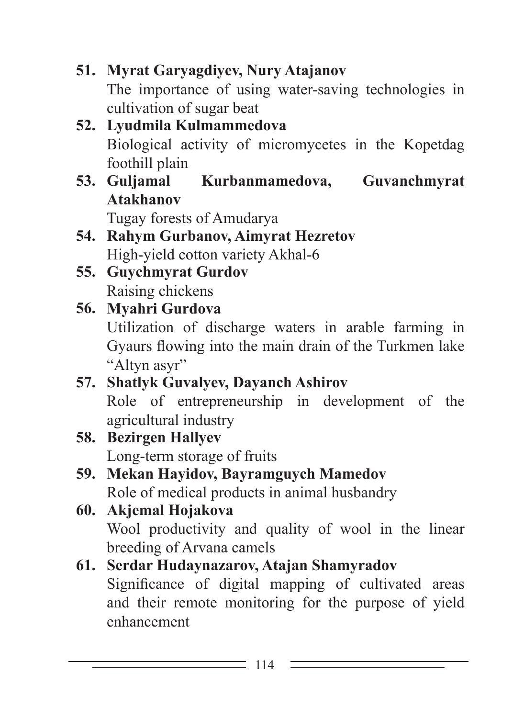**51. Myrat Garyagdiyev, Nury Atajanov** The importance of using water-saving technologies in cultivation of sugar beat

# **52. Lyudmila Kulmammedova** Biological activity of micromycetes in the Kopetdag foothill plain<br>53. Guljamal

**53. Guljamal Kurbanmamedova, Guvanchmyrat Atakhanov**

Tugay forests of Amudarya

- **54. Rahym Gurbanov, Aimyrat Hezretov** High-yield cotton variety Akhal-6
- **55. Guychmyrat Gurdov** Raising chickens

### **56. Myahri Gurdova** Utilization of discharge waters in arable farming in Gyaurs flowing into the main drain of the Turkmen lake "Altyn asyr"

- **57. Shatlyk Guvalyev, Dayanch Ashirov** Role of entrepreneurship in development of the agricultural industry
- **58. Bezirgen Hallyev** Long-term storage of fruits
- **59. Mekan Hayidov, Bayramguych Mamedov** Role of medical products in animal husbandry
- **60. Akjemal Hojakova** Wool productivity and quality of wool in the linear breeding of Arvana camels

# **61. Serdar Hudaynazarov, Atajan Shamyradov**

Significance of digital mapping of cultivated areas and their remote monitoring for the purpose of yield enhancement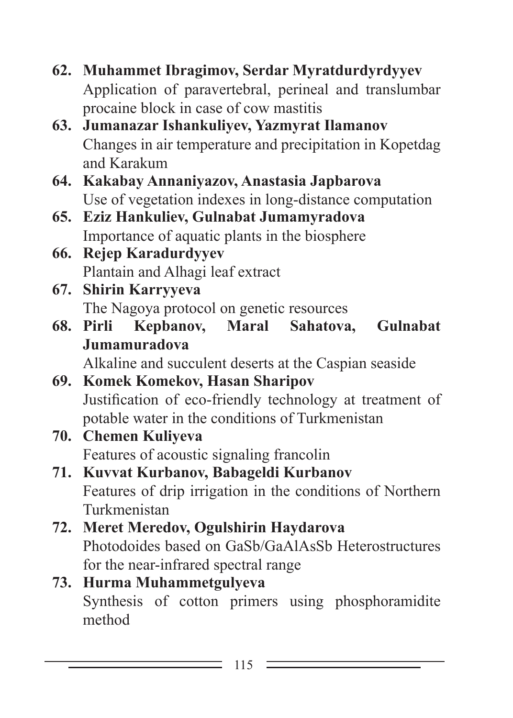- **62. Muhammet Ibragimov, Serdar Myratdurdyrdyyev** Application of paravertebral, perineal and translumbar procaine block in case of cow mastitis
- **63. Jumanazar Ishankuliyev, Yazmyrat Ilamanov** Changes in air temperature and precipitation in Kopetdag and Karakum
- **64. Kakabay Annaniyazov, Anastasia Japbarova** Use of vegetation indexes in long-distance computation
- **65. Eziz Hankuliev, Gulnabat Jumamyradova** Importance of aquatic plants in the biosphere
- **66. Rejep Karadurdyyev** Plantain and Alhagi leaf extract
- **67. Shirin Karryyeva** The Nagoya protocol on genetic resources<br>Pirli Kepbanov, Maral Sahatova.
- **68. Pirli Kepbanov, Maral Sahatova, Gulnabat Jumamuradova**

Alkaline and succulent deserts at the Caspian seaside

- **69. Komek Komekov, Hasan Sharipov** Justification of eco-friendly technology at treatment of potable water in the conditions of Turkmenistan
- **70. Chemen Kuliyeva** Features of acoustic signaling francolin
- **71. Kuvvat Kurbanov, Babageldi Kurbanov** Features of drip irrigation in the conditions of Northern Turkmenistan
- **72. Meret Meredov, Ogulshirin Haydarova** Photodoides based on GaSb/GaAlAsSb Heterostructures for the near-infrared spectral range
- **73. Hurma Muhammetgulyeva** Synthesis of cotton primers using phosphoramidite method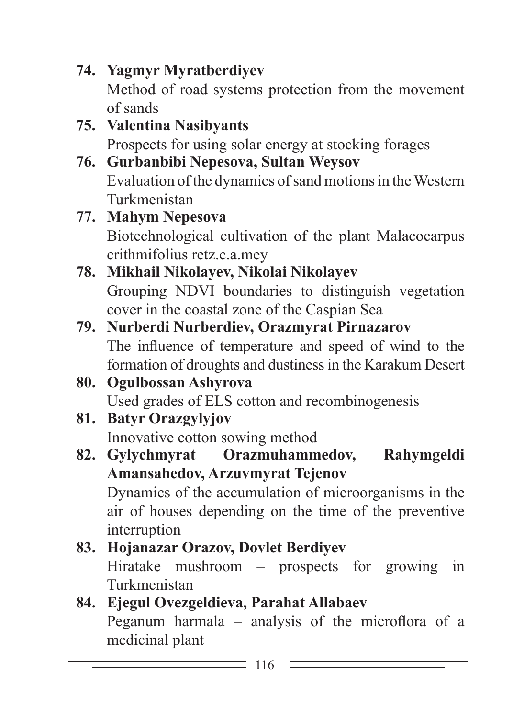**74. Yagmyr Myratberdiyev** Method of road systems protection from the movement of sands

- **75. Valentina Nasibyants** Prospects for using solar energy at stocking forages
- **76. Gurbanbibi Nepesova, Sultan Weysov** Evaluation of the dynamics of sand motions in the Western Turkmenistan
- **77. Mahym Nepesova** Biotechnological cultivation of the plant Malacocarpus crithmifolius retz.c.a.mey
- **78. Mikhail Nikolayev, Nikolai Nikolayev** Grouping NDVI boundaries to distinguish vegetation cover in the coastal zone of the Caspian Sea
- **79. Nurberdi Nurberdiev, Orazmyrat Pirnazarov** The influence of temperature and speed of wind to the formation of droughts and dustiness in the Karakum Desert
- **80. Ogulbossan Ashyrova** Used grades of ELS cotton and recombinogenesis
- **81. Batyr Orazgylyjov** Innovative cotton sowing method
- **82. Gylychmyrat Orazmuhammedov, Rahymgeldi Amansahedov, Arzuvmyrat Tejenov** Dynamics of the accumulation of microorganisms in the air of houses depending on the time of the preventive interruption
- **83. Hojanazar Orazov, Dovlet Berdiyev** Hiratake mushroom – prospects for growing in Turkmenistan
- **84. Ejegul Ovezgeldieva, Parahat Allabaev** Peganum harmala – analysis of the microflora of a medicinal plant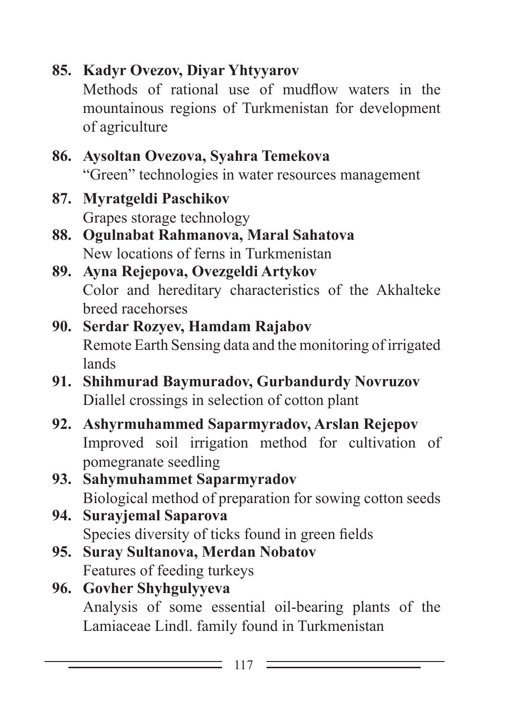# **85. Kadyr Ovezov, Diyar Yhtyyarov**

Methods of rational use of mudflow waters in the mountainous regions of Turkmenistan for development of agriculture

#### **86. Aysoltan Ovezova, Syahra Temekova** "Green" technologies in water resources management

# **87. Myratgeldi Paschikov**

Grapes storage technology

#### **88. Ogulnabat Rahmanova, Maral Sahatova** New locations of ferns in Turkmenistan

### **89. Ayna Rejepova, Ovezgeldi Artykov** Color and hereditary characteristics of the Akhalteke breed racehorses

## **90. Serdar Rozyev, Hamdam Rajabov** Remote Earth Sensing data and the monitoring of irrigated lands

- **91. Shihmurad Baymuradov, Gurbandurdy Novruzov** Diallel crossings in selection of cotton plant
- **92. Ashyrmuhammed Saparmyradov, Arslan Rejepov** Improved soil irrigation method for cultivation of pomegranate seedling
- **93. Sahymuhammet Saparmyradov** Biological method of preparation for sowing cotton seeds

## **94. Surayjemal Saparova** Species diversity of ticks found in green fields

**95. Suray Sultanova, Merdan Nobatov** Features of feeding turkeys

## **96. Govher Shyhgulyyeva** Analysis of some essential oil-bearing plants of the Lamiaceae Lindl. family found in Turkmenistan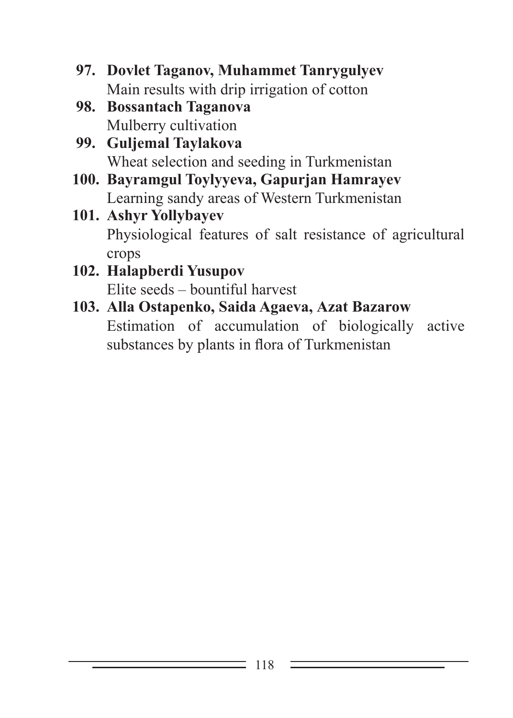- **97. Dovlet Taganov, Muhammet Tanrygulyev** Main results with drip irrigation of cotton
- **98. Bossantach Taganova** Mulberry cultivation
- **99. Guljemal Taylakova** Wheat selection and seeding in Turkmenistan
- **100. Bayramgul Toylyyeva, Gapurjan Hamrayev** Learning sandy areas of Western Turkmenistan
- **101. Ashyr Yollybayev** Physiological features of salt resistance of agricultural crops
- **102. Halapberdi Yusupov** Elite seeds – bountiful harvest
- **103. Аlla Ostapenko, Saida Agaeva, Аzat Bazarow** Estimation of accumulation of biologically active substances by plants in flora of Turkmenistan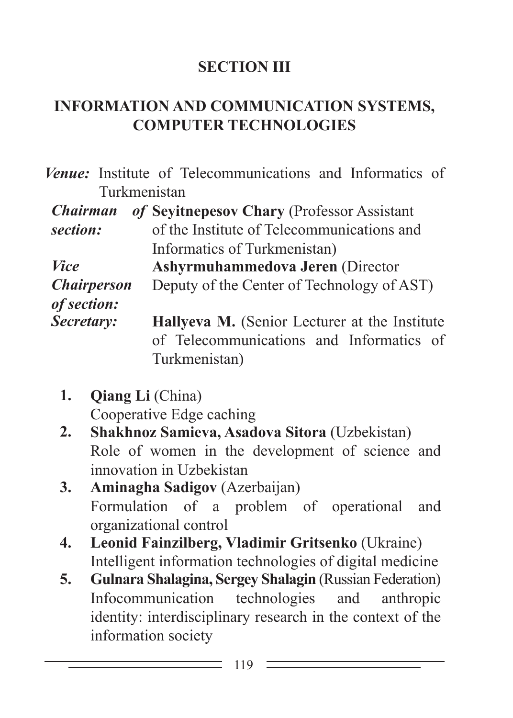## **SECTION III**

## **INFORMATION AND COMMUNICATION SYSTEMS, COMPUTER TECHNOLOGIES**

*Venue:* Institute of Telecommunications and Informatics of Turkmenistan

| <b>Chairman</b>    | of Seyitnepesov Chary (Professor Assistant    |
|--------------------|-----------------------------------------------|
| section:           | of the Institute of Telecommunications and    |
|                    | Informatics of Turkmenistan)                  |
| <i>Vice</i>        | <b>Ashyrmuhammedova Jeren (Director</b>       |
| <b>Chairperson</b> | Deputy of the Center of Technology of AST)    |
| of section:        |                                               |
| Secretary:         | Hallyeva M. (Senior Lecturer at the Institute |
|                    | of Telecommunications and Informatics of      |
|                    | Turkmenistan)                                 |

- **1. Qiang Li** (China) Cooperative Edge caching
- **2. Shakhnoz Samieva, Asadova Sitora** (Uzbekistan) Role of women in the development of science and innovation in Uzbekistan
- **3. Aminagha Sadigov** (Azerbaijan) Formulation of a problem of operational and organizational control
- **4. Leonid Fainzilberg, Vladimir Gritsenko** (Ukraine) Intelligent information technologies of digital medicine
- **5. Gulnara Shalagina, Sergey Shalagin** (Russian Federation) Infocommunication technologies and anthropic identity: interdisciplinary research in the context of the information society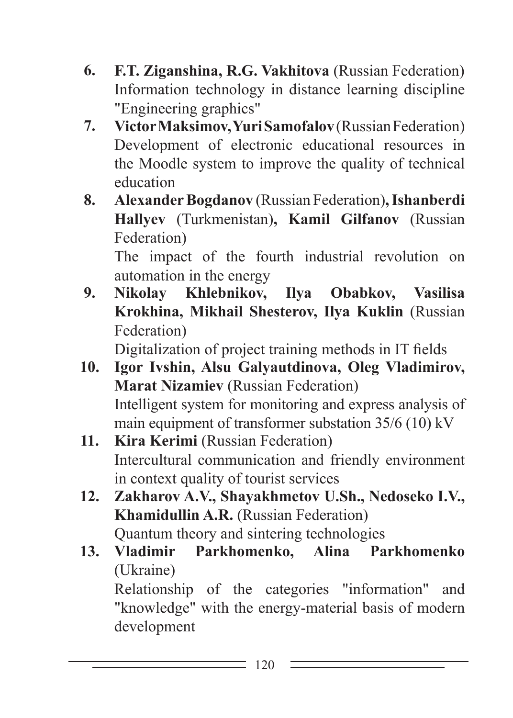- **6. F.T. Ziganshina, R.G. Vakhitova** (Russian Federation) Information technology in distance learning discipline "Engineering graphics"
- **7. Victor Maksimov, Yuri Samofalov** (Russian Federation) Development of electronic educational resources in the Moodle system to improve the quality of technical education
- **8. Alexander Bogdanov** (Russian Federation)**, Ishanberdi Hallyev** (Turkmenistan)**, Kamil Gilfanov** (Russian Federation)

The impact of the fourth industrial revolution on automation in the energy

**9. Nikolay Khlebnikov, Ilya Obabkov, Vasilisa Krokhina, Mikhail Shesterov, Ilya Kuklin** (Russian Federation)

Digitalization of project training methods in IT fields

- **10. Igor Ivshin, Alsu Galyautdinova, Oleg Vladimirov, Marat Nizamiev** (Russian Federation) Intelligent system for monitoring and express analysis of main equipment of transformer substation 35/6 (10) kV
- 11. **Kira Kerimi** (Russian Federation) Intercultural communication and friendly environment in context quality of tourist services
- **12. Zakharov A.V., Shayakhmetov U.Sh., Nedoseko I.V., Khamidullin A.R.** (Russian Federation) Quantum theory and sintering technologies
- **13. Vladimir Parkhomenko, Alina Parkhomenko** (Ukraine) Relationship of the categories "information" and "knowledge" with the energy-material basis of modern development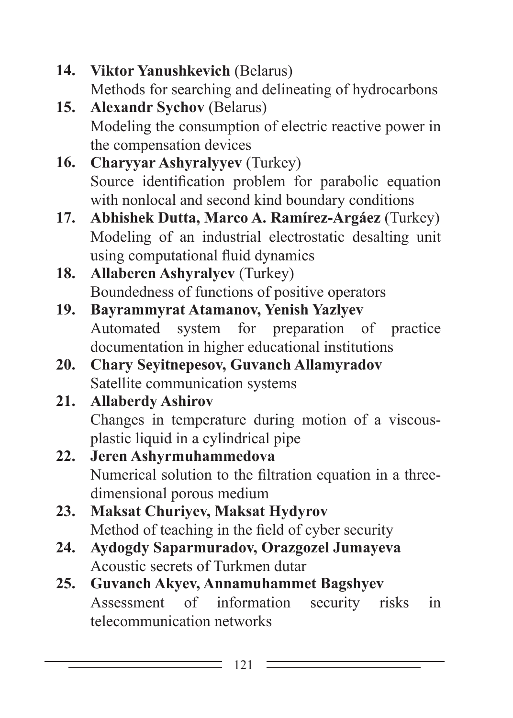- **14. Viktor Yanushkevich** (Belarus) Methods for searching and delineating of hydrocarbons
- **15. Alexandr Sychov** (Belarus) Modeling the consumption of electric reactive power in the compensation devices
- **16. Charyyar Ashyralyyev** (Turkey) Source identification problem for parabolic equation with nonlocal and second kind boundary conditions
- **17. Abhishek Dutta, Marco A. Ramírez-Argáez** (Turkey) Modeling of an industrial electrostatic desalting unit using computational fluid dynamics
- **18. Allaberen Ashyralyev** (Turkey) Boundedness of functions of positive operators
- **19. Bayrammyrat Atamanov, Yenish Yazlyev** Automated system for preparation of practice documentation in higher educational institutions
- **20. Chary Seyitnepesov, Guvanch Allamyradov** Satellite communication systems

# **21. Allaberdy Ashirov**

Changes in temperature during motion of a viscousplastic liquid in a cylindrical pipe

- **22. Jeren Ashyrmuhammedova** Numerical solution to the filtration equation in a threedimensional porous medium
- **23. Maksat Churiyev, Maksat Hydyrov** Method of teaching in the field of cyber security
- **24. Aydogdy Saparmuradov, Orazgozel Jumayeva** Acoustic secrets of Turkmen dutar
- **25. Guvanch Akyev, Annamuhammet Bagshyev** Assessment of information security risks in telecommunication networks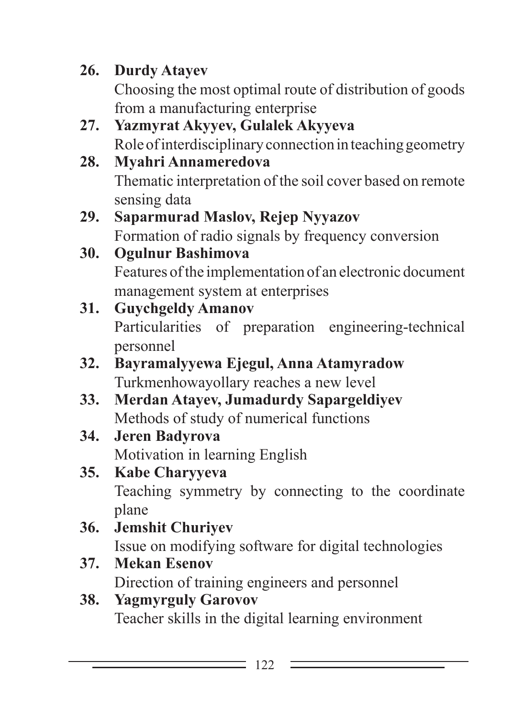# **26. Durdy Atayev**

Choosing the most optimal route of distribution of goods from a manufacturing enterprise

- **27. Yazmyrat Akyyev, Gulalek Akyyeva** Role of interdisciplinary connection in teaching geometry
- **28. Myahri Annameredova** Thematic interpretation of the soil cover based on remote sensing data
- **29. Saparmurad Maslov, Rejep Nyyazov** Formation of radio signals by frequency conversion
- **30. Ogulnur Bashimova** Features of the implementation of an electronic document management system at enterprises
- **31. Guychgeldy Amanov** Particularities of preparation engineering-technical personnel
- **32. Bayramalyyewa Ejegul, Anna Atamyradow** Turkmenhowayollary reaches a new level
- **33. Merdan Atayev, Jumadurdy Sapargeldiyev** Methods of study of numerical functions
- **34. Jeren Badyrova** Motivation in learning English
- **35. Kabe Charyyeva** Teaching symmetry by connecting to the coordinate plane
- **36. Jemshit Churiyev** Issue on modifying software for digital technologies
- **37. Mekan Esenov** Direction of training engineers and personnel
- **38. Yagmyrguly Garovov** Teacher skills in the digital learning environment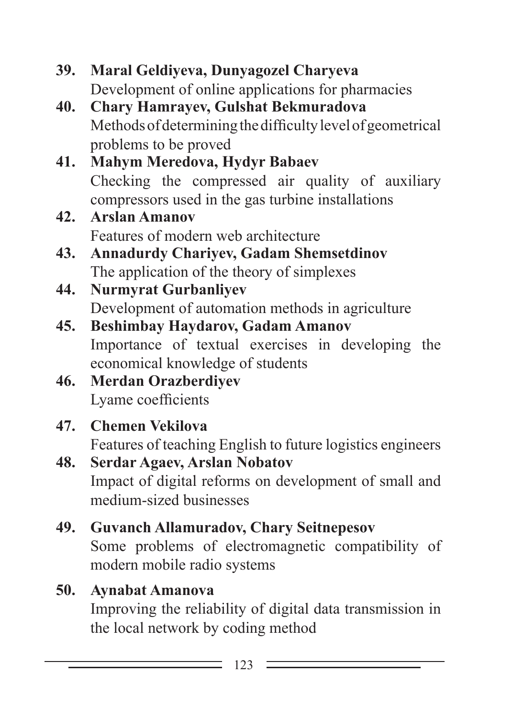#### **39. Maral Geldiyeva, Dunyagozel Charyeva** Development of online applications for pharmacies

**40. Chary Hamrayev, Gulshat Bekmuradova** Methods of determining the difficulty level of geometrical problems to be proved

#### **41. Mahym Meredova, Hydyr Babaev** Checking the compressed air quality of auxiliary compressors used in the gas turbine installations

- **42. Arslan Amanov** Features of modern web architecture
- **43. Annadurdy Chariyev, Gadam Shemsetdinov** The application of the theory of simplexes
- **44. Nurmyrat Gurbanliyev** Development of automation methods in agriculture
- **45. Beshimbay Haydarov, Gadam Amanov** Importance of textual exercises in developing the economical knowledge of students
- **46. Merdan Orazberdiyev** Lyame coefficients

# **47. Chemen Vekilova**

Features of teaching English to future logistics engineers

**48. Serdar Agaev, Arslan Nobatov** Impact of digital reforms on development of small and medium-sized businesses

# **49. Guvanch Allamuradov, Chary Seitnepesov**

Some problems of electromagnetic compatibility of modern mobile radio systems

## **50. Aynabat Amanova**

Improving the reliability of digital data transmission in the local network by coding method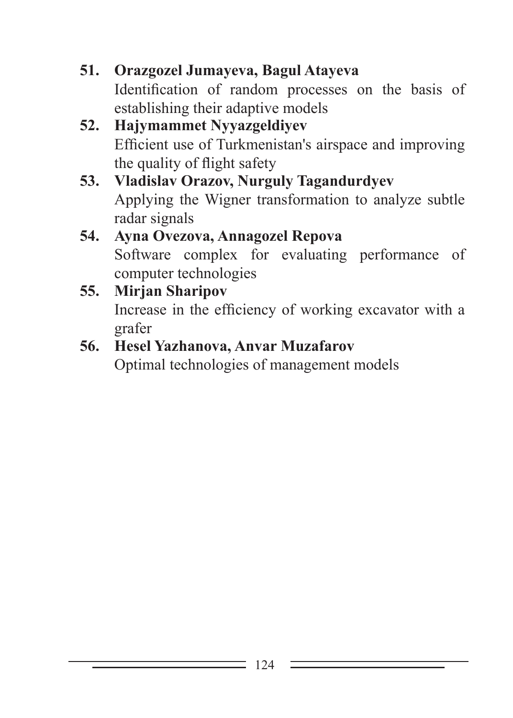- **51. Orazgozel Jumayeva, Bagul Atayeva** Identification of random processes on the basis of establishing their adaptive models
- **52. Hajymammet Nyyazgeldiyev** Efficient use of Turkmenistan's airspace and improving the quality of flight safety
- **53. Vladislav Orazov, Nurguly Tagandurdyev** Applying the Wigner transformation to analyze subtle radar signals

#### **54. Ayna Ovezova, Annagozel Repova** Software complex for evaluating performance of computer technologies

#### **55. Mirjan Sharipov** Increase in the efficiency of working excavator with a grafer

#### **56. Hesel Yazhanova, Anvar Muzafarov**

Optimal technologies of management models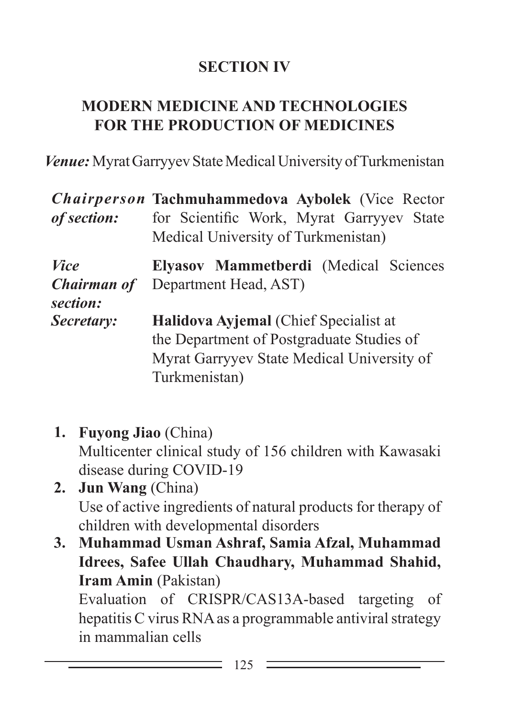#### **SECTION IV**

#### **Modern MEDICINE AND TECHNOLOGIES FOR THE PRODUCTION OF medicines**

*Venue:* Myrat Garryyev State Medical University of Turkmenistan

|                    | Chairperson Tachmuhammedova Aybolek (Vice Rector |  |  |  |
|--------------------|--------------------------------------------------|--|--|--|
| of section:        | for Scientific Work, Myrat Garryyev State        |  |  |  |
|                    | Medical University of Turkmenistan)              |  |  |  |
| <i>Vice</i>        | Elyasov Mammetberdi (Medical Sciences            |  |  |  |
| <b>Chairman of</b> | Department Head, AST)                            |  |  |  |
| section:           |                                                  |  |  |  |
| Secretary:         | Halidova Ayjemal (Chief Specialist at            |  |  |  |
|                    | the Department of Postgraduate Studies of        |  |  |  |
|                    | Myrat Garryyev State Medical University of       |  |  |  |
|                    | Turkmenistan)                                    |  |  |  |

- **1. Fuyong Jiao** (China) Multicenter clinical study of 156 children with Kawasaki disease during COVID-19
- **2. Jun Wang** (China) Use of active ingredients of natural products for therapy of children with developmental disorders
- **3. Muhammad Usman Ashraf, Samia Afzal, Muhammad Idrees, Safee Ullah Chaudhary, Muhammad Shahid, Iram Amin** (Pakistan)

Evaluation of CRISPR/CAS13A-based targeting of hepatitis C virus RNA as a programmable antiviral strategy in mammalian cells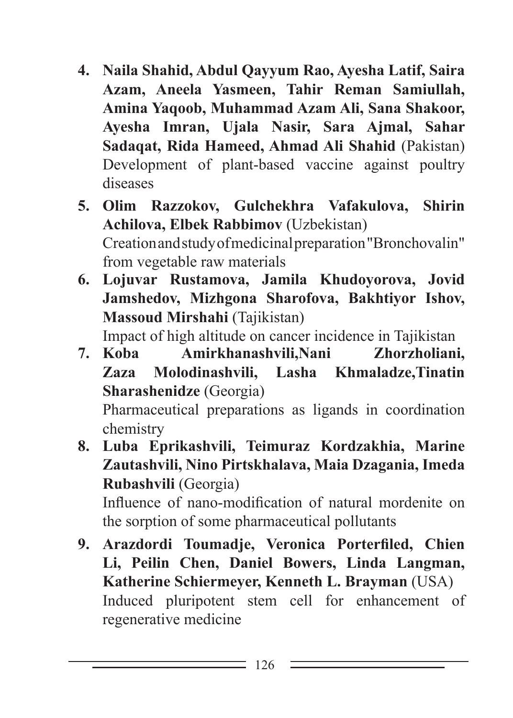- **4. Naila Shahid, Abdul Qayyum Rao, Ayesha Latif, Saira Azam, Aneela Yasmeen, Tahir Reman Samiullah, Amina Yaqoob, Muhammad Azam Ali, Sana Shakoor, Ayesha Imran, Ujala Nasir, Sara Ajmal, Sahar Sadaqat, Rida Hameed, Ahmad Ali Shahid** (Pakistan) Development of plant-based vaccine against poultry diseases
- **5. Olim Razzokov, Gulchekhra Vafakulova, Shirin Achilova, Elbek Rabbimov** (Uzbekistan) Creation and study of medicinal preparation "Bronchovalin" from vegetable raw materials
- **6. Lojuvar Rustamova, Jamila Khudoyorova, Jovid Jamshedov, Mizhgona Sharofova, Bakhtiyor Ishov, Massoud Mirshahi** (Tajikistan)

Impact of high altitude on cancer incidence in Tajikistan

**7. Koba Amirkhanashvili,Nani Zhorzholiani, Zaza Molodinashvili, Lasha Khmaladze,Tinatin Sharashenidze** (Georgia)

Pharmaceutical preparations as ligands in coordination chemistry

**8. Luba Eprikashvili, Teimuraz Kordzakhia, Marine Zautashvili, Nino Pirtskhalava, Maia Dzagania, Imeda Rubashvili** (Georgia)

Influence of nano-modification of natural mordenite on the sorption of some pharmaceutical pollutants

**9. Arazdordi Toumadje, Veronica Porterfiled, Chien Li, Peilin Chen, Daniel Bowers, Linda Langman, Katherine Schiermeyer, Kenneth L. Brayman** (USA) Induced pluripotent stem cell for enhancement of regenerative medicine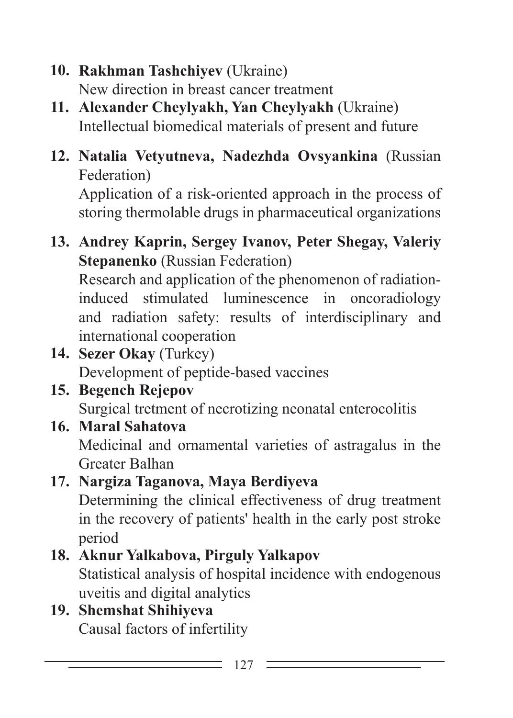- **10. Rakhman Tashchiyev** (Ukraine) New direction in breast cancer treatment
- **11. Alexander Cheylyakh, Yan Cheylyakh** (Ukraine) Intellectual biomedical materials of present and future
- **12. Natalia Vetyutneva, Nadezhda Ovsyankina** (Russian Federation)

Application of a risk-oriented approach in the process of storing thermolable drugs in pharmaceutical organizations

**13. Andrey Kaprin, Sergey Ivanov, Peter Shegay, Valeriy Stepanenko** (Russian Federation)

Research and application of the phenomenon of radiationinduced stimulated luminescence in oncoradiology and radiation safety: results of interdisciplinary and international cooperation

- **14. Sezer Okay** (Turkey) Development of peptide-based vaccines
- **15. Begench Rejepov**

Surgical tretment of necrotizing neonatal enterocolitis

**16. Maral Sahatova**

Medicinal and ornamental varieties of astragalus in the Greater Balhan

#### **17. Nargiza Taganova, Maya Berdiyeva** Determining the clinical effectiveness of drug treatment in the recovery of patients' health in the early post stroke period

# **18. Aknur Yalkabova, Pirguly Yalkapov** Statistical analysis of hospital incidence with endogenous

uveitis and digital analytics

#### **19. Shemshat Shihiyeva** Causal factors of infertility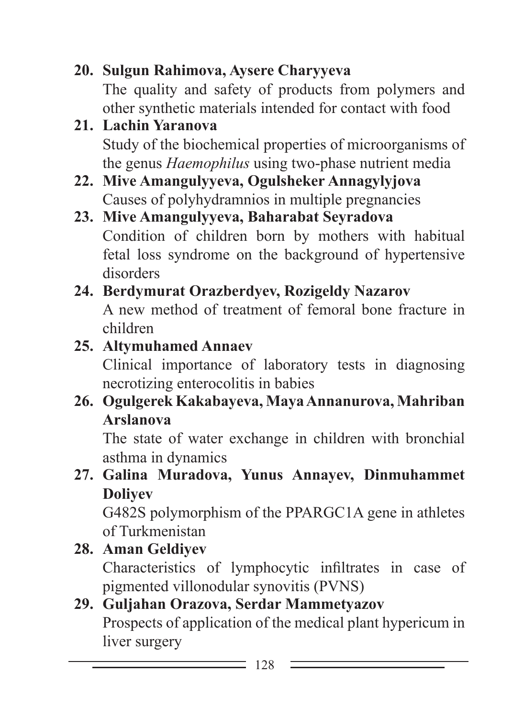**20. Sulgun Rahimova, Aysere Charyyeva** The quality and safety of products from polymers and other synthetic materials intended for contact with food

- **21. Lachin Yaranova** Study of the biochemical properties of microorganisms of the genus *Haemophilus* using two-phase nutrient media
- **22. Mive Amangulyyeva, Ogulsheker Annagylyjova** Causes of polyhydramnios in multiple pregnancies
- **23. Mive Amangulyyeva, Baharabat Seyradova** Condition of children born by mothers with habitual fetal loss syndrome on the background of hypertensive disorders

#### **24. Berdymurat Orazberdyev, Rozigeldy Nazarov** A new method of treatment of femoral bone fracture in children

### **25. Altymuhamed Annaev**

Clinical importance of laboratory tests in diagnosing necrotizing enterocolitis in babies

**26. Ogulgerek Kakabayeva, Maya Annanurova, Mahriban Arslanova**

The state of water exchange in children with bronchial asthma in dynamics

**27. Galina Muradova, Yunus Annayev, Dinmuhammet Doliyev**

G482S polymorphism of the PPARGC1A gene in athletes of Turkmenistan

#### **28. Aman Geldiyev**

Characteristics of lymphocytic infiltrates in case of pigmented villonodular synovitis (PVNS)

#### **29. Guljahan Orazova, Serdar Mammetyazov** Prospects of application of the medical plant hypericum in liver surgery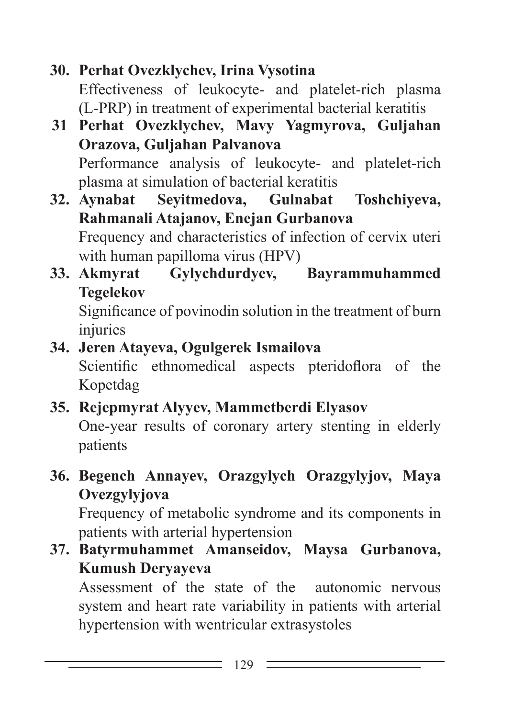### **30. Perhat Ovezklychev, Irina Vysotina**

Effectiveness of leukocyte- and platelet-rich plasma (L-PRP) in treatment of experimental bacterial keratitis

**31 Perhat Ovezklychev, Mavy Yagmyrova, Guljahan Orazova, Guljahan Palvanova** Performance analysis of leukocyte- and platelet-rich

plasma at simulation of bacterial keratitis

**32. Aynabat Seyitmedova, Gulnabat Toshchiyeva, Rahmanali Atajanov, Enejan Gurbanova**

Frequency and characteristics of infection of cervix uteri with human papilloma virus (HPV)

**33. Akmyrat Gylychdurdyev, Bayrammuhammed Tegelekov**

Significance of povinodin solution in the treatment of burn injuries

### **34. Jeren Atayeva, Ogulgerek Ismailova**

Scientific ethnomedical aspects pteridoflora of the Kopetdag

## **35. Rejepmyrat Alyyev, Mammetberdi Elyasov**

One-year results of coronary artery stenting in elderly patients

**36. Begench Annayev, Orazgylych Orazgylyjov, Maya Ovezgylyjova**

Frequency of metabolic syndrome and its components in patients with arterial hypertension

**37. Batyrmuhammet Amanseidov, Maysa Gurbanova, Kumush Deryayeva**

Assessment of the state of the autonomic nervous system and heart rate variability in patients with arterial hypertension with wentricular extrasystoles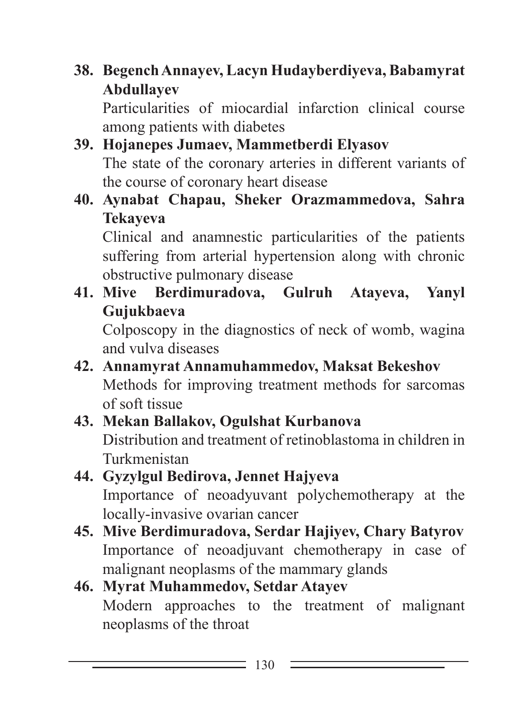**38. Begench Annayev, Lacyn Hudayberdiyeva, Babamyrat Abdullayev**

Particularities of miocardial infarction clinical course among patients with diabetes

- **39. Hojanepes Jumaev, Mammetberdi Elyasov** The state of the coronary arteries in different variants of the course of coronary heart disease
- **40. Aynabat Chapau, Sheker Orazmammedova, Sahra Tekayeva**

Clinical and anamnestic particularities of the patients suffering from arterial hypertension along with chronic obstructive pulmonary disease

**41. Mive Berdimuradova, Gulruh Atayeva, Yanyl Gujukbaeva**

Colposcopy in the diagnostics of neck of womb, wagina and vulva diseases

**42. Annamyrat Annamuhammedov, Maksat Bekeshov** Methods for improving treatment methods for sarcomas of soft tissue

#### **43. Mekan Ballakov, Ogulshat Kurbanova** Distribution and treatment of retinoblastoma in children in Turkmenistan

#### **44. Gyzylgul Bedirova, Jennet Hajyeva** Importance of neoadyuvant polychemotherapy at the locally-invasive ovarian cancer

**45. Mive Berdimuradova, Serdar Hajiyev, Chary Batyrov** Importance of neoadjuvant chemotherapy in case of malignant neoplasms of the mammary glands

#### **46. Myrat Muhammedov, Setdar Atayev** Modern approaches to the treatment of malignant neoplasms of the throat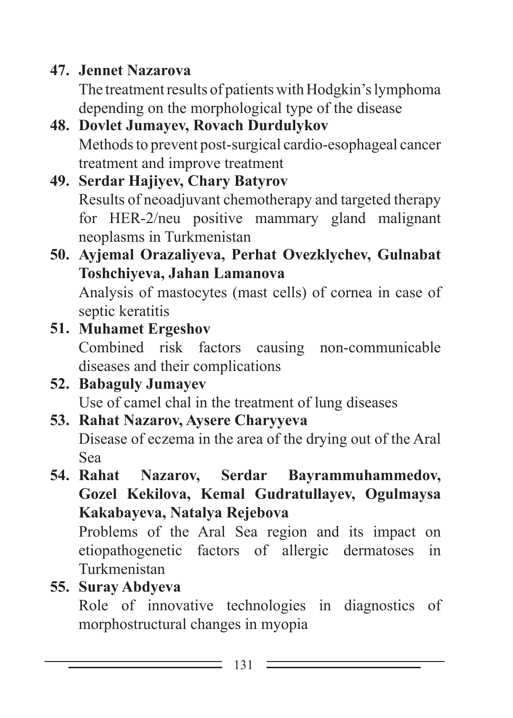## **47. Jennet Nazarova**

The treatment results of patients with Hodgkin's lymphoma depending on the morphological type of the disease

#### **48. Dovlet Jumayev, Rovach Durdulykov** Methods to prevent post-surgical cardio-esophageal cancer treatment and improve treatment

#### **49. Serdar Hajiyev, Chary Batyrov** Results of neoadjuvant chemotherapy and targeted therapy for HER-2/neu positive mammary gland malignant neoplasms in Turkmenistan

# **50. Ayjemal Orazaliyeva, Perhat Ovezklychev, Gulnabat Toshchiyeva, Jahan Lamanova**

Analysis of mastocytes (mast cells) of cornea in case of septic keratitis

## **51. Muhamet Ergeshov**

Combined risk factors causing non-communicable diseases and their complications

#### **52. Babaguly Jumayev**

Use of camel chal in the treatment of lung diseases

# **53. Rahat Nazarov, Aysere Charyyeva**

Disease of eczema in the area of the drying out of the Aral Sea

### **54. Rahat Nazarov, Serdar Bayrammuhammedov, Gozel Kekilova, Kemal Gudratullayev, Ogulmaysa Kakabayeva, Natalya Rejebova**

Problems of the Aral Sea region and its impact on etiopathogenetic factors of allergic dermatoses in Turkmenistan

## **55. Suray Abdyeva**

Role of innovative technologies in diagnostics of morphostructural changes in myopia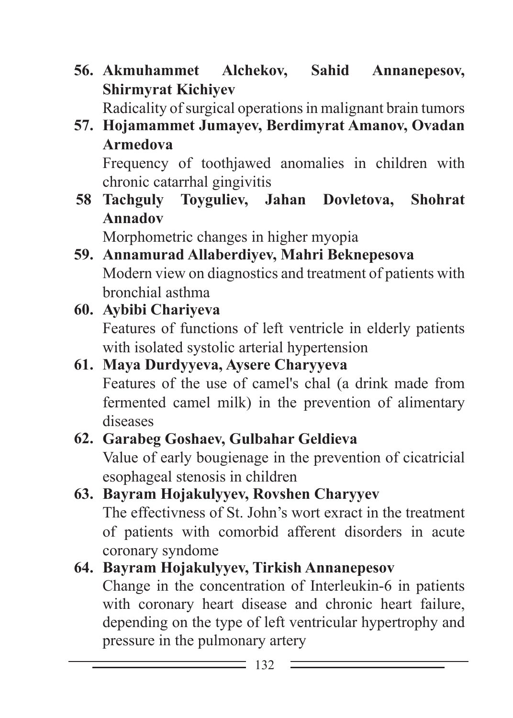**56. Akmuhammet Alchekov, Sahid Annanepesov, Shirmyrat Kichiyev**

Radicality of surgical operations in malignant brain tumors

#### **57. Hojamammet Jumayev, Berdimyrat Amanov, Ovadan Armedova**

Frequency of toothjawed anomalies in children with chronic catarrhal gingivitis

**58 Tachguly Toyguliev, Jahan Dovletova, Shohrat Annadov**

Morphometric changes in higher myopia

**59. Annamurad Allaberdiyev, Mahri Beknepesova** Modern view on diagnostics and treatment of patients with bronchial asthma

#### **60. Aybibi Chariyeva**

Features of functions of left ventricle in elderly patients with isolated systolic arterial hypertension

#### **61. Maya Durdyyeva, Aysere Charyyeva**

Features of the use of camel's chal (a drink made from fermented camel milk) in the prevention of alimentary diseases

#### **62. Garabeg Goshaev, Gulbahar Geldieva**

Value of early bougienage in the prevention of cicatricial esophageal stenosis in children

## **63. Bayram Hojakulyyev, Rovshen Charyyev**

The effectivness of St. John's wort exract in the treatment of patients with comorbid afferent disorders in acute coronary syndome

#### **64. Bayram Hojakulyyev, Tirkish Annanepesov**

Change in the concentration of Interleukin-6 in patients with coronary heart disease and chronic heart failure, depending on the type of left ventricular hypertrophy and pressure in the pulmonary artery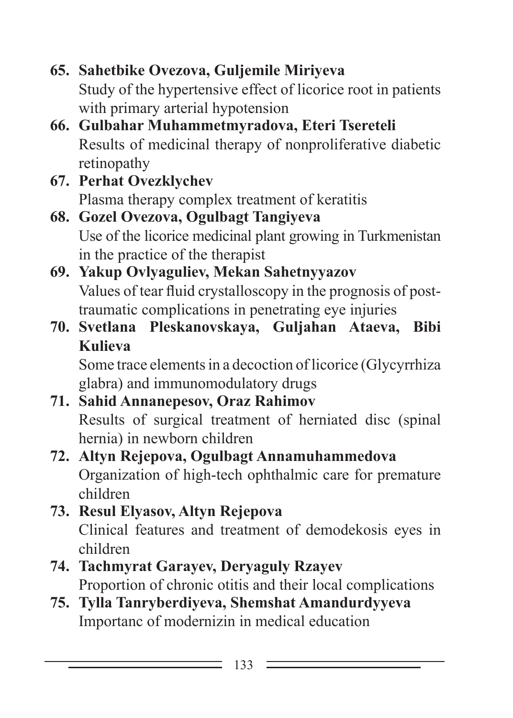```
65. Sahetbike Ovezova, Guljemile Miriyeva
Study of the hypertensive effect of licorice root in patients 
with primary arterial hypotension
```
- **66. Gulbahar Muhammetmyradova, Eteri Tsereteli** Results of medicinal therapy of nonproliferative diabetic retinopathy
- **67. Perhat Ovezklychev** Plasma therapy complex treatment of keratitis
- **68. Gozel Ovezova, Ogulbagt Tangiyeva** Use of the licorice medicinal plant growing in Turkmenistan in the practice of the therapist
- **69. Yakup Ovlyaguliev, Mekan Sahetnyyazov** Values of tear fluid crystalloscopy in the prognosis of posttraumatic complications in penetrating eye injuries
- **70. Svetlana Pleskanovskaya, Guljahan Ataeva, Bibi Kulieva**

Some trace elements in a decoction of licorice (Glycyrrhiza glabra) and immunomodulatory drugs

#### **71. Sahid Annanepesov, Oraz Rahimov** Results of surgical treatment of herniated disc (spinal hernia) in newborn children

- **72. Altyn Rejepova, Ogulbagt Annamuhammedova** Organization of high-tech ophthalmic care for premature children
- **73. Resul Elyasov, Altyn Rejepova** Clinical features and treatment of demodekosis eyes in children

## **74. Tachmyrat Garayev, Deryaguly Rzayev** Proportion of chronic otitis and their local complications

**75. Tylla Tanryberdiyeva, Shemshat Amandurdyyeva** Importanc of modernizin in medical education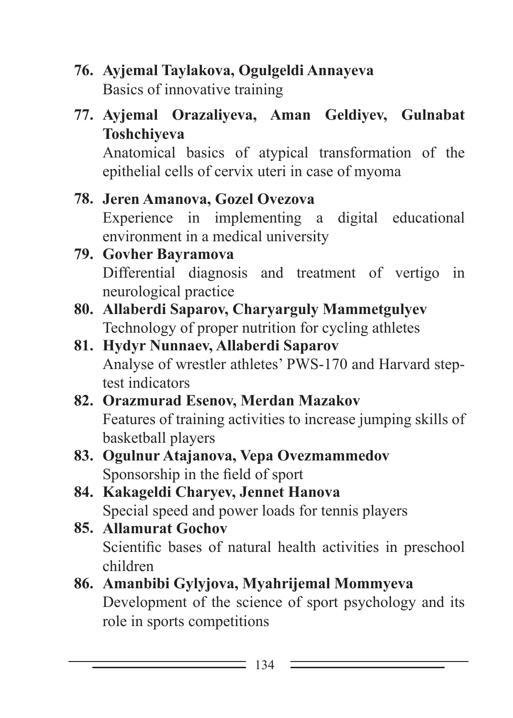- **76. Ayjemal Taylakova, Ogulgeldi Annayeva** Basics of innovative training
- **77. Ayjemal Orazaliyeva, Aman Geldiyev, Gulnabat Toshchiyeva**

Anatomical basics of atypical transformation of the epithelial cells of cervix uteri in case of myoma

#### **78. Jeren Amanova, Gozel Ovezova**

Experience in implementing a digital educational environment in a medical university

#### **79. Govher Bayramova**

Differential diagnosis and treatment of vertigo in neurological practice

- **80. Allaberdi Saparov, Charyarguly Mammetgulyev** Technology of proper nutrition for cycling athletes
- **81. Hydyr Nunnaev, Allaberdi Saparov** Analyse of wrestler athletes' PWS-170 and Harvard steptest indicators
- **82. Orazmurad Esenov, Merdan Mazakov** Features of training activities to increase jumping skills of basketball players

#### **83. Ogulnur Atajanova, Vepa Ovezmammedov** Sponsorship in the field of sport

- **84. Kakageldi Charyev, Jennet Hanova** Special speed and power loads for tennis players
- **85. Allamurat Gochov** Scientific bases of natural health activities in preschool children

#### **86. Amanbibi Gylyjova, Myahrijemal Mommyeva** Development of the science of sport psychology and its role in sports competitions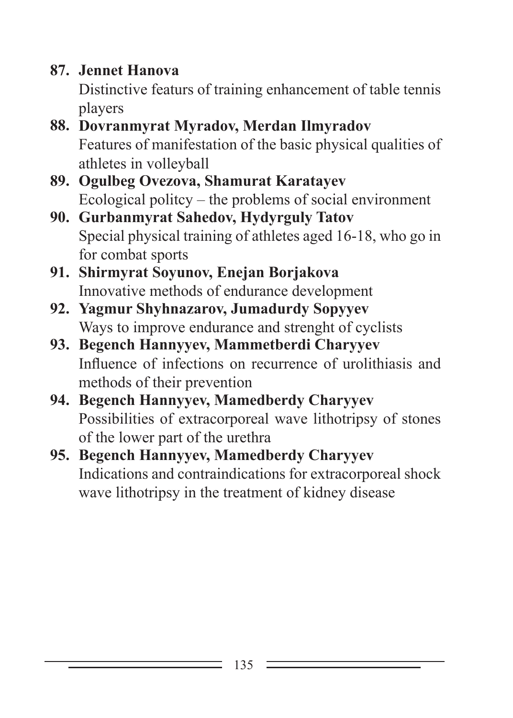**87. Jennet Hanova**

Distinctive featurs of training enhancement of table tennis players

- **88. Dovranmyrat Myradov, Merdan Ilmyradov** Features of manifestation of the basic physical qualities of athletes in volleyball
- **89. Ogulbeg Ovezova, Shamurat Karatayev** Ecological politcy – the problems of social environment
- **90. Gurbanmyrat Sahedov, Hydyrguly Tatov** Special physical training of athletes aged 16-18, who go in for combat sports
- **91. Shirmyrat Soyunov, Enejan Borjakova** Innovative methods of endurance development
- **92. Yagmur Shyhnazarov, Jumadurdy Sopyyev** Ways to improve endurance and strenght of cyclists
- **93. Begench Hannyyev, Mammetberdi Charyyev** Influence of infections on recurrence of urolithiasis and methods of their prevention
- **94. Begench Hannyyev, Mamedberdy Charyyev** Possibilities of extracorporeal wave lithotripsy of stones of the lower part of the urethra
- **95. Begench Hannyyev, Mamedberdy Charyyev** Indications and contraindications for extracorporeal shock wave lithotripsy in the treatment of kidney disease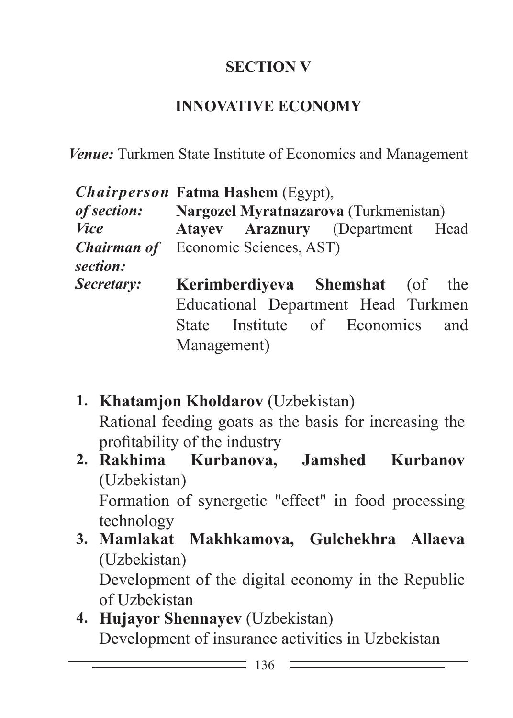### **SECTION V**

#### **INNOVATIVE ECONOMY**

*Venue:* Turkmen State Institute of Economics and Management

| <i>Chairperson</i> Fatma Hashem (Egypt),               |                                                          |                                     |  |  |  |  |
|--------------------------------------------------------|----------------------------------------------------------|-------------------------------------|--|--|--|--|
|                                                        | <i>of section:</i> Nargozel Myratnazarova (Turkmenistan) |                                     |  |  |  |  |
| <b>Vice</b>                                            |                                                          | Atayev Araznury (Department Head    |  |  |  |  |
| <b>Chairman of</b> Economic Sciences, AST)<br>section: |                                                          |                                     |  |  |  |  |
| <i>Secretary:</i>                                      |                                                          | Kerimberdiyeva Shemshat (of the     |  |  |  |  |
|                                                        |                                                          | Educational Department Head Turkmen |  |  |  |  |
|                                                        |                                                          | State Institute of Economics and    |  |  |  |  |
|                                                        | Management)                                              |                                     |  |  |  |  |

- **1. Khatamjon Kholdarov** (Uzbekistan) Rational feeding goats as the basis for increasing the profitability of the industry
- **2. Rakhima Kurbanova, Jamshed Kurbanov**  (Uzbekistan) Formation of synergetic "effect" in food processing technology
- **3. Mamlakat Makhkamova, Gulchekhra Allaeva**  (Uzbekistan) Development of the digital economy in the Republic of Uzbekistan
- **4. Hujayor Shennayev** (Uzbekistan) Development of insurance activities in Uzbekistan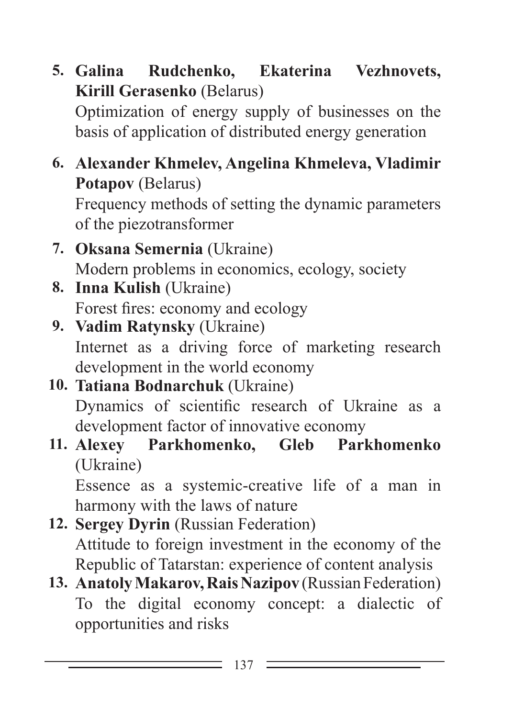- **5. Galina Rudchenko, Ekaterina Vezhnovets, Kirill Gerasenko** (Belarus) Optimization of energy supply of businesses on the basis of application of distributed energy generation
- **6. Alexander Khmelev, Angelina Khmeleva, Vladimir Potapov** (Belarus) Frequency methods of setting the dynamic parameters of the piezotransformer
- **7. Oksana Semernia** (Ukraine) Modern problems in economics, ecology, society
- **8. Inna Kulish** (Ukraine) Forest fires: economy and ecology
- **9. Vadim Ratynsky** (Ukraine) Internet as a driving force of marketing research development in the world economy
- **10. Tatiana Bodnarchuk** (Ukraine) Dynamics of scientific research of Ukraine as a development factor of innovative economy
- **11. Alexey Parkhomenko, Gleb Parkhomenko** (Ukraine)

Essence as a systemic-creative life of a man in harmony with the laws of nature

- **12. Sergey Dyrin** (Russian Federation) Attitude to foreign investment in the economy of the Republic of Tatarstan: experience of content analysis
- 13. **Anatoly Makarov, Rais Nazipov** (Russian Federation) To the digital economy concept: a dialectic of opportunities and risks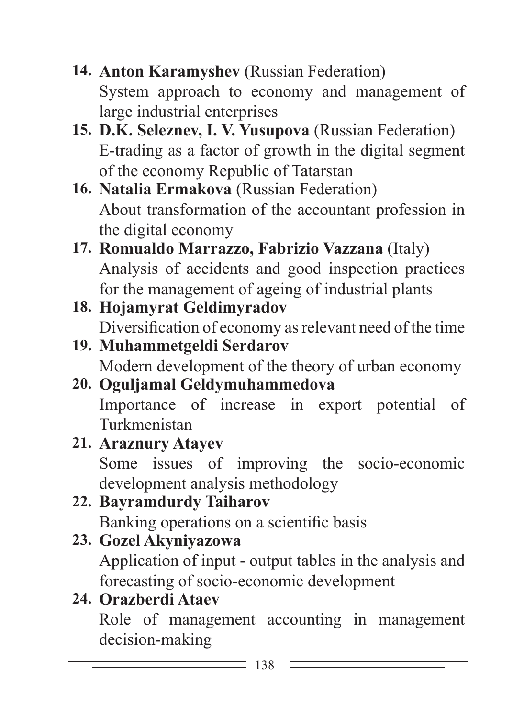- **14. Anton Karamyshev** (Russian Federation) System approach to economy and management of large industrial enterprises
- **15. D.K. Seleznev, I. V. Yusupova** (Russian Federation) E-trading as a factor of growth in the digital segment of the economy Republic of Tatarstan
- **16. Natalia Ermakova** (Russian Federation) About transformation of the accountant profession in the digital economy
- **17. Romualdo Marrazzo, Fabrizio Vazzana** (Italy) Analysis of accidents and good inspection practices for the management of ageing of industrial plants
- **18. Hojamyrat Geldimyradov** Diversification of economy as relevant need of the time
- **19. Muhammetgeldi Serdarov** Modern development of the theory of urban economy
- **20. Oguljamal Geldymuhammedova** Importance of increase in export potential of Turkmenistan
- **21. Araznury Atayev** Some issues of improving the socio-economic development analysis methodology
- **22. Bayramdurdy Taiharov** Banking operations on a scientific basis
- **23. Gozel Akyniyazowa**

Application of input - output tables in the analysis and forecasting of socio-economic development

**24. Orazberdi Ataev**

Role of management accounting in management decision-making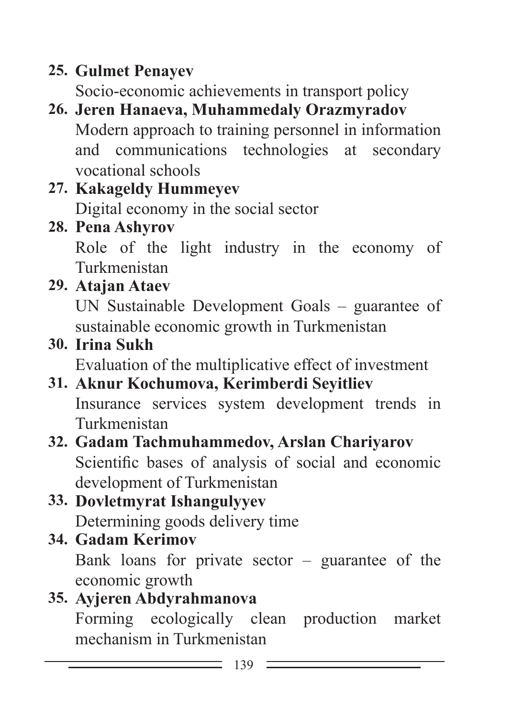# **25. Gulmet Penayev**

Socio-economic achievements in transport policy

- **26. Jeren Hanaeva, Muhammedaly Orazmyradov** Modern approach to training personnel in information and communications technologies at secondary vocational schools
- **27. Kakageldy Hummeyev** Digital economy in the social sector
- **28. Pena Ashyrov**

Role of the light industry in the economy of Turkmenistan

**29. Atajan Ataev**

UN Sustainable Development Goals – guarantee of sustainable economic growth in Turkmenistan

**30. Irina Sukh**

Evaluation of the multiplicative effect of investment

- **31. Aknur Kochumova, Kerimberdi Seyitliev** Insurance services system development trends in Turkmenistan
- **32. Gadam Tachmuhammedov, Arslan Chariyarov** Scientific bases of analysis of social and economic development of Turkmenistan
- **33. Dovletmyrat Ishangulyyev** Determining goods delivery time
- **34. Gadam Kerimov** Bank loans for private sector – guarantee of the economic growth

#### **35. Ayjeren Abdyrahmanova** Forming ecologically clean production market mechanism in Turkmenistan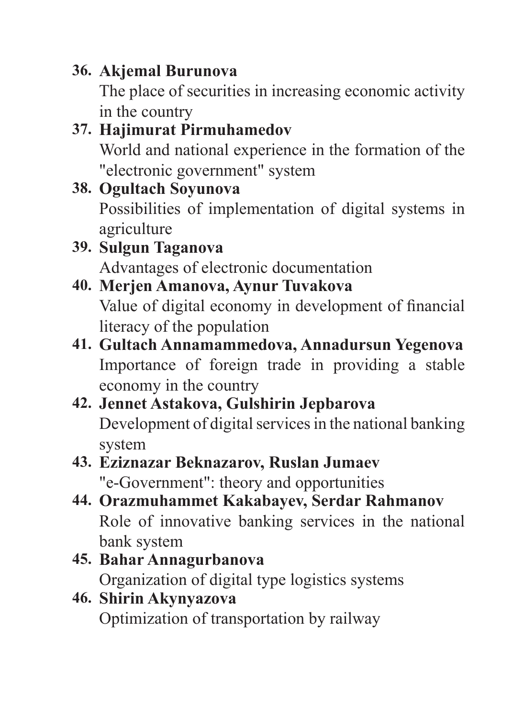## **36. Akjemal Burunova**

The place of securities in increasing economic activity in the country

#### **37. Hajimurat Pirmuhamedov** World and national experience in the formation of the "electronic government" system

#### **38. Ogultach Soyunova** Possibilities of implementation of digital systems in agriculture

#### **39. Sulgun Taganova** Advantages of electronic documentation

## **40. Merjen Amanova, Aynur Tuvakova** Value of digital economy in development of financial literacy of the population

## **41. Gultach Annamammedova, Annadursun Yegenova** Importance of foreign trade in providing a stable economy in the country

# **42. Jennet Astakova, Gulshirin Jepbarova**

Development of digital services in the national banking system

### **43. Eziznazar Beknazarov, Ruslan Jumaev** "e-Government": theory and opportunities

- **44. Orazmuhammet Kakabayev, Serdar Rahmanov** Role of innovative banking services in the national bank system
- **45. Bahar Annagurbanova** Organization of digital type logistics systems

#### **46. Shirin Akynyazova** Optimization of transportation by railway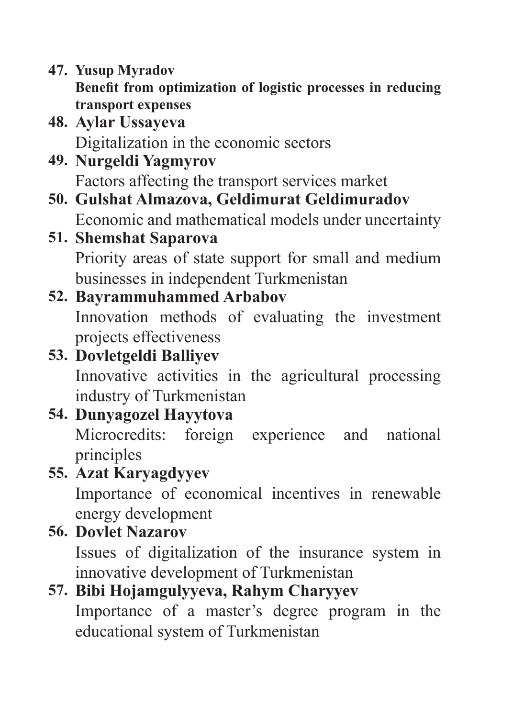- **47. Yusup Myradov Benefit from optimization of logistic processes in reducing transport expenses**
- **48. Aylar Ussayeva** Digitalization in the economic sectors
- **49. Nurgeldi Yagmyrov** Factors affecting the transport services market
- **50. Gulshat Almazova, Geldimurat Geldimuradov** Economic and mathematical models under uncertainty
- **51. Shemshat Saparova** Priority areas of state support for small and medium businesses in independent Turkmenistan

# **52. Bayrammuhammed Arbabov**

Innovation methods of evaluating the investment projects effectiveness

# **53. Dovletgeldi Balliyev**

Innovative activities in the agricultural processing industry of Turkmenistan

# **54. Dunyagozel Hayytova**

Microcredits: foreign experience and national principles

# **55. Azat Karyagdyyev**

Importance of economical incentives in renewable energy development

# **56. Dovlet Nazarov**

Issues of digitalization of the insurance system in innovative development of Turkmenistan

# **57. Bibi Hojamgulyyeva, Rahym Charyyev**

Importance of a master's degree program in the educational system of Turkmenistan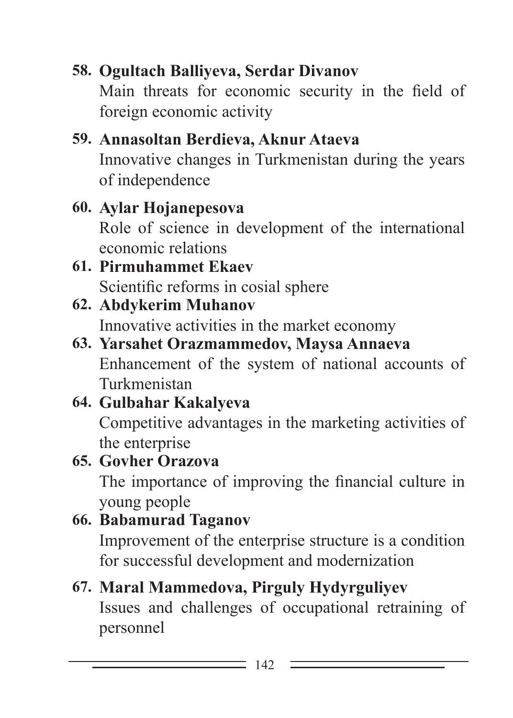# **58. Ogultach Balliyeva, Serdar Divanov**

Main threats for economic security in the field of foreign economic activity

## **59. Annasoltan Berdieva, Aknur Ataeva** Innovative changes in Turkmenistan during the years of independence

## **60. Aylar Hojanepesova**

Role of science in development of the international economic relations

#### **61. Pirmuhammet Ekaev** Scientific reforms in cosial sphere

#### **62. Abdykerim Muhanov** Innovative activities in the market economy

## **63. Yarsahet Orazmammedov, Maysa Annaeva** Enhancement of the system of national accounts of Turkmenistan

# **64. Gulbahar Kakalyeva**

Competitive advantages in the marketing activities of the enterprise

#### **65. Govher Orazova** The importance of improving the financial culture in young people

# **66. Babamurad Taganov**

Improvement of the enterprise structure is a condition for successful development and modernization

# **67. Maral Mammedova, Pirguly Hydyrguliyev**

Issues and challenges of occupational retraining of personnel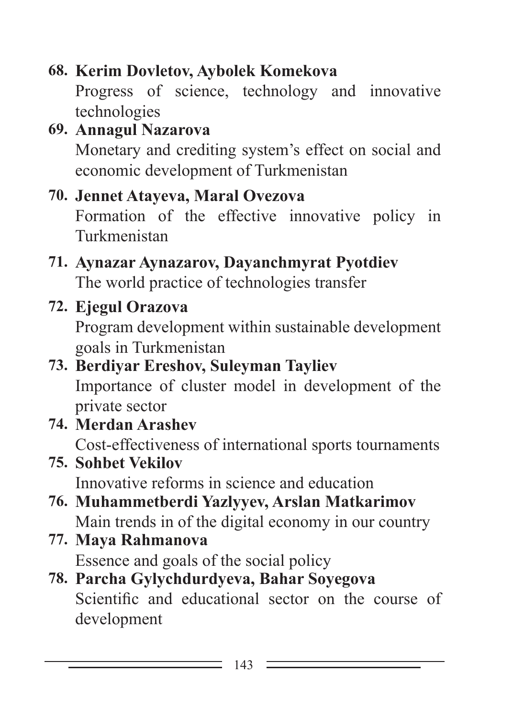# **68. Kerim Dovletov, Aybolek Komekova**

Progress of science, technology and innovative technologies

**69. Annagul Nazarova** Monetary and crediting system's effect on social and economic development of Turkmenistan

## **70. Jennet Atayeva, Maral Ovezova**

Formation of the effective innovative policy in Turkmenistan

#### **71. Aynazar Aynazarov, Dayanchmyrat Pyotdiev** The world practice of technologies transfer

# **72. Ejegul Orazova**

Program development within sustainable development goals in Turkmenistan

# **73. Berdiyar Ereshov, Suleyman Tayliev**

Importance of cluster model in development of the private sector

**74. Merdan Arashev** Cost-effectiveness of international sports tournaments

# **75. Sohbet Vekilov** Innovative reforms in science and education

- **76. Muhammetberdi Yazlyyev, Arslan Matkarimov** Main trends in of the digital economy in our country
- **77. Maya Rahmanova** Essence and goals of the social policy
- **78. Parcha Gylychdurdyeva, Bahar Soyegova** Scientific and educational sector on the course of development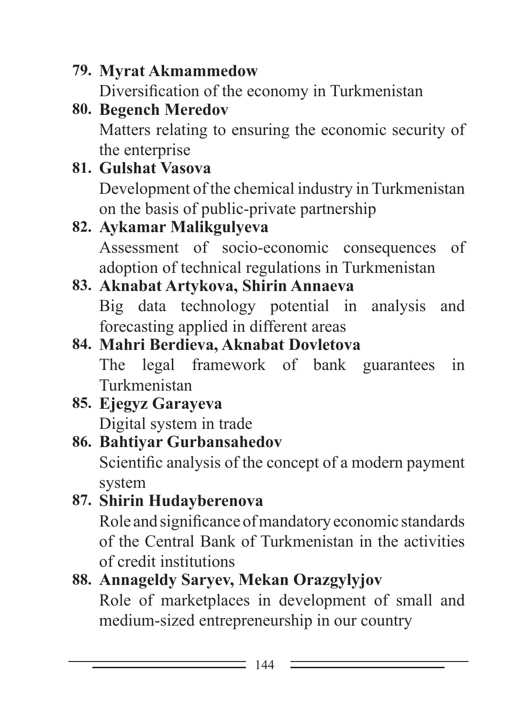# **79. Myrat Akmammedow**

Diversification of the economy in Turkmenistan

**80. Begench Meredov** Matters relating to ensuring the economic security of the enterprise

## **81. Gulshat Vasova**

Development of the chemical industry in Turkmenistan on the basis of public-private partnership

## **82. Aykamar Malikgulyeva**

Assessment of socio-economic consequences of adoption of technical regulations in Turkmenistan

## **83. Aknabat Artykova, Shirin Annaeva**

Big data technology potential in analysis and forecasting applied in different areas

# **84. Mahri Berdieva, Aknabat Dovletova**

The legal framework of bank guarantees in Turkmenistan

#### **85. Ejegyz Garayeva** Digital system in trade

# **86. Bahtiyar Gurbansahedov**

Scientific analysis of the concept of a modern payment system

## **87. Shirin Hudayberenova** Role and significance of mandatory economic standards of the Central Bank of Turkmenistan in the activities of credit institutions

# **88. Annageldy Saryev, Mekan Orazgylyjov**

Role of marketplaces in development of small and medium-sized entrepreneurship in our country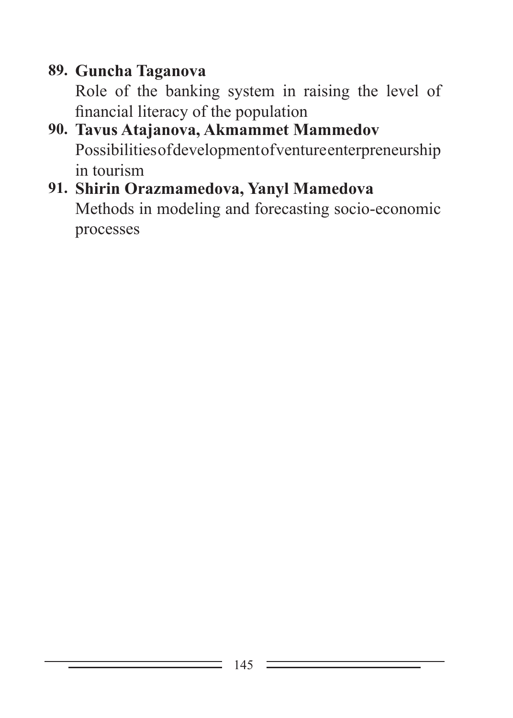# **89. Guncha Taganova**

Role of the banking system in raising the level of financial literacy of the population

## **90. Tavus Atajanova, Akmammet Mammedov** Possibilities of development of venture enterpreneurship in tourism

## **91. Shirin Orazmamedova, Yanyl Mamedova** Methods in modeling and forecasting socio-economic processes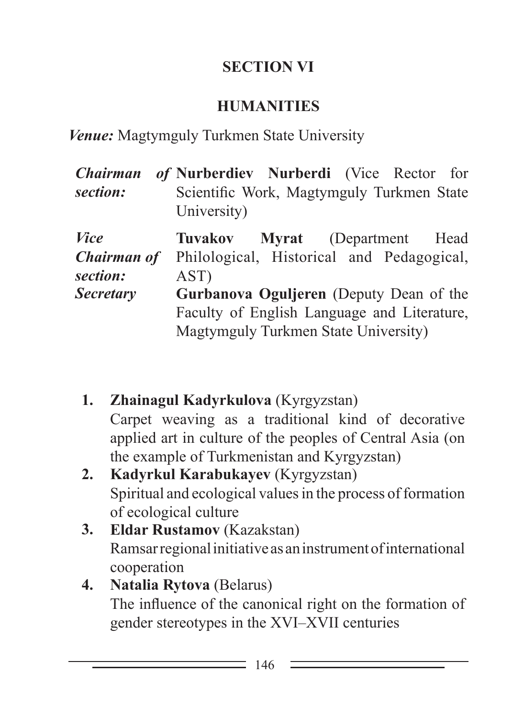#### **SECTION VI**

#### **HUMANITIES**

*Venue:* Magtymguly Turkmen State University

| <b>Chairman</b>                               | of Nurberdiev Nurberdi (Vice Rector for                                                                                        |
|-----------------------------------------------|--------------------------------------------------------------------------------------------------------------------------------|
| section:                                      | Scientific Work, Magtymguly Turkmen State<br>University)                                                                       |
| <i>Vice</i><br><b>Chairman of</b><br>section: | Tuvakov Myrat (Department Head<br>Philological, Historical and Pedagogical,<br>AST)                                            |
| <b>Secretary</b>                              | Gurbanova Oguljeren (Deputy Dean of the<br>Faculty of English Language and Literature,<br>Magtymguly Turkmen State University) |

**1. Zhainagul Kadyrkulova** (Kyrgyzstan) Carpet weaving as a traditional kind of decorative applied art in culture of the peoples of Central Asia (on the example of Turkmenistan and Kyrgyzstan) **2. Kadyrkul Karabukayev** (Kyrgyzstan) Spiritual and ecological values in the process of formation of ecological culture **3. Eldar Rustamov** (Kazakstan) Ramsar regional initiative as an instrument of international cooperation

#### **4. Natalia Rytova** (Belarus) The influence of the canonical right on the formation of gender stereotypes in the XVI–XVII centuries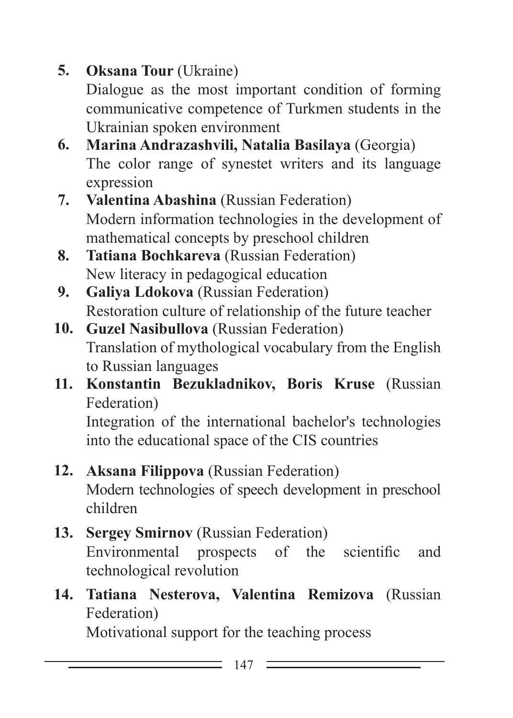# **5. Oksana Tour** (Ukraine)

Dialogue as the most important condition of forming communicative competence of Turkmen students in the Ukrainian spoken environment

- **6. Marina Andrazashvili, Natalia Basilaya** (Georgia) The color range of synestet writers and its language expression
- **7. Valentina Abashina** (Russian Federation) Modern information technologies in the development of mathematical concepts by preschool children
- **8. Tatiana Bochkareva** (Russian Federation) New literacy in pedagogical education
- **9. Galiya Ldokova** (Russian Federation) Restoration culture of relationship of the future teacher
- **10. Guzel Nasibullova** (Russian Federation) Translation of mythological vocabulary from the English to Russian languages
- **11. Konstantin Bezukladnikov, Boris Kruse** (Russian Federation)

Integration of the international bachelor's technologies into the educational space of the CIS countries

- **12. Aksana Filippova** (Russian Federation) Modern technologies of speech development in preschool children
- **13. Sergey Smirnov** (Russian Federation) Environmental prospects of the scientific and technological revolution
- **14. Tatiana Nesterova, Valentina Remizova** (Russian Federation)

Motivational support for the teaching process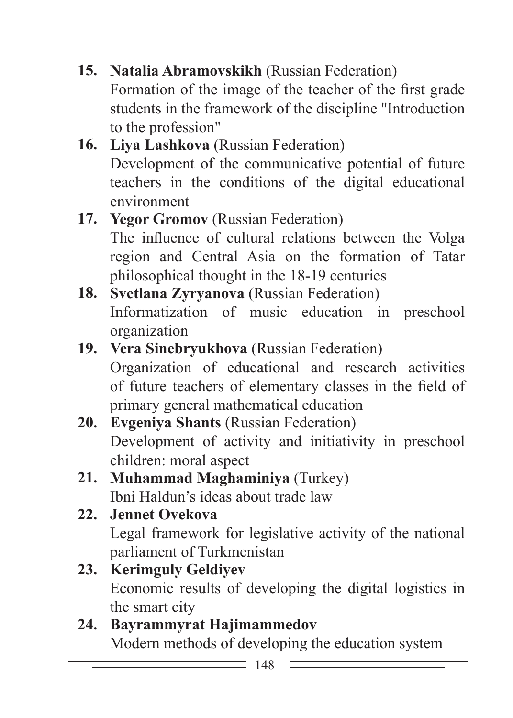- **15. Natalia Abramovskikh** (Russian Federation) Formation of the image of the teacher of the first grade students in the framework of the discipline "Introduction to the profession"
- **16. Liya Lashkova** (Russian Federation) Development of the communicative potential of future teachers in the conditions of the digital educational environment
- **17. Yegor Gromov** (Russian Federation) The influence of cultural relations between the Volga region and Central Asia on the formation of Tatar philosophical thought in the 18-19 centuries
- **18. Svetlana Zyryanova** (Russian Federation) Informatization of music education in preschool organization
- **19. Vera Sinebryukhova** (Russian Federation) Organization of educational and research activities of future teachers of elementary classes in the field of primary general mathematical education
- **20. Evgeniya Shants** (Russian Federation) Development of activity and initiativity in preschool children: moral aspect
- **21. Muhammad Maghaminiya** (Turkey) Ibni Haldun's ideas about trade law
- **22. Jennet Ovekova** Legal framework for legislative activity of the national parliament of Turkmenistan
- **23. Kerimguly Geldiyev** Economic results of developing the digital logistics in the smart city
- **24. Bayrammyrat Hajimammedov** Modern methods of developing the education system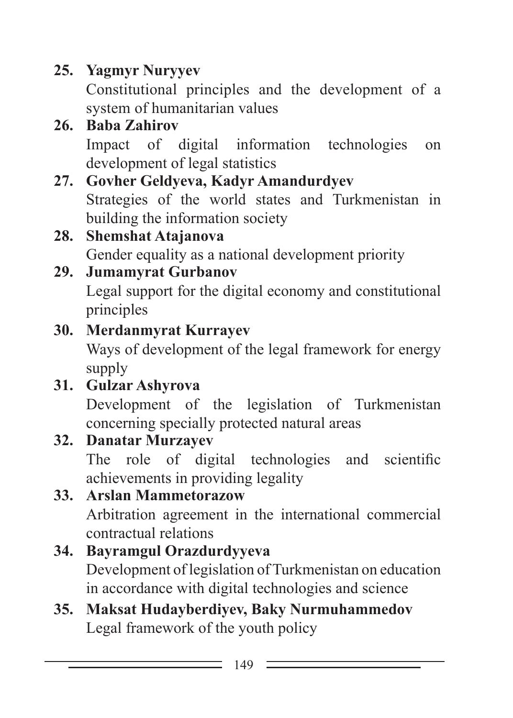# **25. Yagmyr Nuryyev**

Constitutional principles and the development of a system of humanitarian values

## **26. Baba Zahirov**

Impact of digital information technologies on development of legal statistics

#### **27. Govher Geldyeva, Kadyr Amandurdyev** Strategies of the world states and Turkmenistan in building the information society

# **28. Shemshat Atajanova**

Gender equality as a national development priority

### **29. Jumamyrat Gurbanov**

Legal support for the digital economy and constitutional principles

#### **30. Merdanmyrat Kurrayev**

Ways of development of the legal framework for energy supply

# **31. Gulzar Ashyrova**

Development of the legislation of Turkmenistan concerning specially protected natural areas

#### **32. Danatar Murzayev**

The role of digital technologies and scientific achievements in providing legality

## **33. Arslan Mammetorazow**

Arbitration agreement in the international commercial contractual relations

#### **34. Bayramgul Orazdurdyyeva**

Development of legislation of Turkmenistan on education in accordance with digital technologies and science

## **35. Maksat Hudayberdiyev, Baky Nurmuhammedov** Legal framework of the youth policy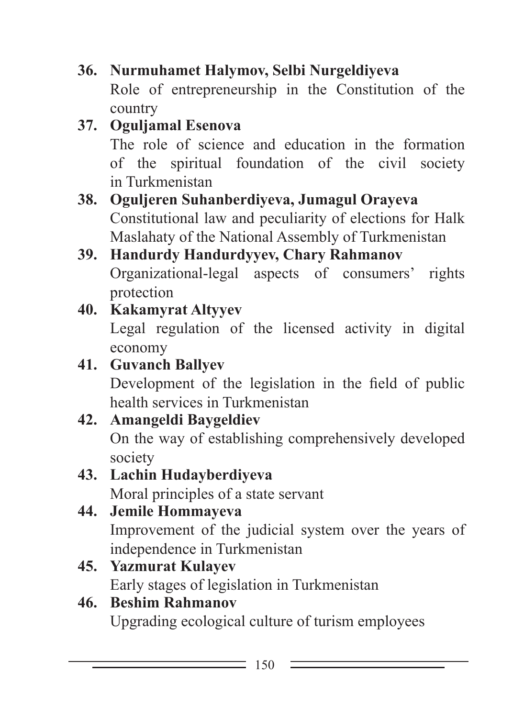- **36. Nurmuhamet Halymov, Selbi Nurgeldiyeva** Role of entrepreneurship in the Constitution of the country
- **37. Oguljamal Esenova** The role of science and education in the formation of the spiritual foundation of the civil society in Turkmenistan
- **38. Oguljeren Suhanberdiyeva, Jumagul Orayeva** Constitutional law and peculiarity of elections for Halk Maslahaty of the National Assembly of Turkmenistan
- **39. Handurdy Handurdyyev, Chary Rahmanov** Organizational-legal aspects of consumers' rights protection
- **40. Kakamyrat Altyyev**

Legal regulation of the licensed activity in digital economy

- **41. Guvanch Ballyev** Development of the legislation in the field of public health services in Turkmenistan
- **42. Amangeldi Baygeldiev** On the way of establishing comprehensively developed society
- **43. Lachin Hudayberdiyeva** Moral principles of a state servant
- **44. Jemile Hommayeva** Improvement of the judicial system over the years of independence in Turkmenistan
- **45. Yazmurat Kulayev** Early stages of legislation in Turkmenistan
- **46. Beshim Rahmanov** Upgrading ecological culture of turism employees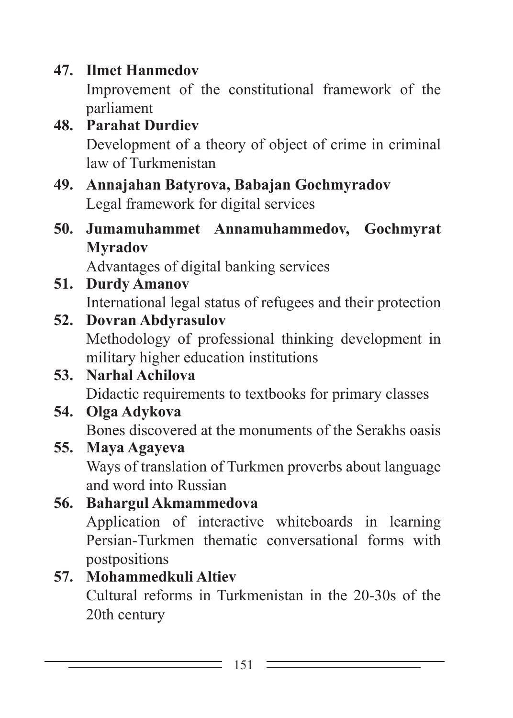#### **47. Ilmet Hanmedov**

Improvement of the constitutional framework of the parliament

#### **48. Parahat Durdiev** Development of a theory of object of crime in criminal law of Turkmenistan

- **49. Annajahan Batyrova, Babajan Gochmyradov** Legal framework for digital services
- **50. Jumamuhammet Annamuhammedov, Gochmyrat Myradov**

Advantages of digital banking services

**51. Durdy Amanov** International legal status of refugees and their protection

## **52. Dovran Abdyrasulov**

Methodology of professional thinking development in military higher education institutions

## **53. Narhal Achilova**

Didactic requirements to textbooks for primary classes

#### **54. Olga Adykova**

Bones discovered at the monuments of the Serakhs oasis

#### **55. Maya Agayeva**

Ways of translation of Turkmen proverbs about language and word into Russian

**56. Bahargul Akmammedova** Application of interactive whiteboards in learning Persian-Turkmen thematic conversational forms with postpositions

# **57. Mohammedkuli Altiev**

Cultural reforms in Turkmenistan in the 20-30s of the 20th century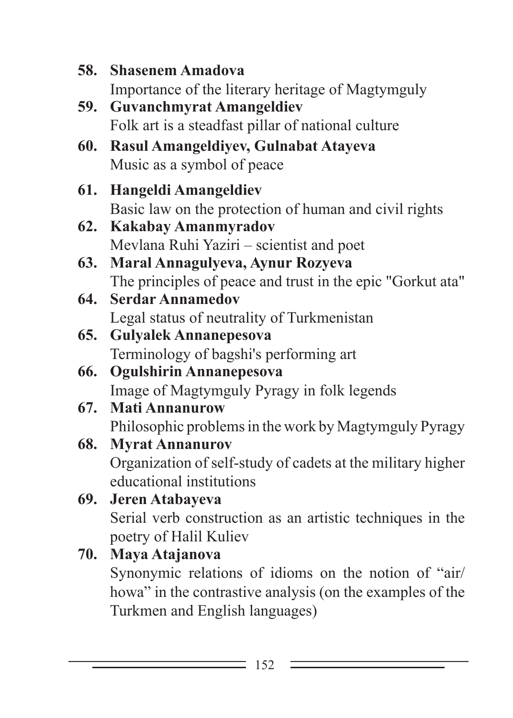- **58. Shasenem Amadova** Importance of the literary heritage of Magtymguly
- **59. Guvanchmyrat Amangeldiev** Folk art is a steadfast pillar of national culture
- **60. Rasul Amangeldiyev, Gulnabat Atayeva** Music as a symbol of peace
- **61. Hangeldi Amangeldiev** Basic law on the protection of human and civil rights
- **62. Kakabay Amanmyradov** Mevlana Ruhi Yaziri – scientist and poet
- **63. Maral Annagulyeva, Aynur Rozyeva** The principles of peace and trust in the epic "Gorkut ata"
- **64. Serdar Annamedov** Legal status of neutrality of Turkmenistan
- **65. Gulyalek Annanepesova** Terminology of bagshi's performing art
- **66. Ogulshirin Annanepesova** Image of Magtymguly Pyragy in folk legends
- **67. Mati Annanurow** Philosophic problems in the work by Magtymguly Pyragy

#### **68. Myrat Annanurov** Organization of self-study of cadets at the military higher educational institutions

**69. Jeren Atabayeva** Serial verb construction as an artistic techniques in the poetry of Halil Kuliev

# **70. Maya Atajanova**

Synonymic relations of idioms on the notion of "air/ howa" in the contrastive analysis (on the examples of the Turkmen and English languages)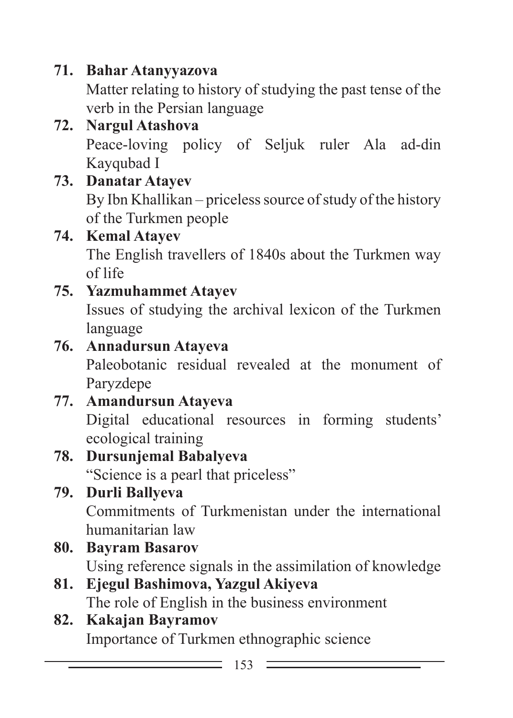## **71. Bahar Atanyyazova**

Matter relating to history of studying the past tense of the verb in the Persian language

# **72. Nargul Atashova**

Peace-loving policy of Seljuk ruler Ala ad-din Kayqubad I

## **73. Danatar Atayev**

By Ibn Khallikan – priceless source of study of the history of the Turkmen people

#### **74. Kemal Atayev**

The English travellers of 1840s about the Turkmen way of life

## **75. Yazmuhammet Atayev**

Issues of studying the archival lexicon of the Turkmen language

#### **76. Annadursun Atayeva**

Paleobotanic residual revealed at the monument of Paryzdepe

#### **77. Amandursun Atayeva**

Digital educational resources in forming students' ecological training

# **78. Dursunjemal Babalyeva**

"Science is a pearl that priceless"

## **79. Durli Ballyeva**

Commitments of Turkmenistan under the international humanitarian law

#### **80. Bayram Basarov**

Using reference signals in the assimilation of knowledge

**81. Ejegul Bashimova, Yazgul Akiyeva** The role of English in the business environment

#### **82. Kakajan Bayramov** Importance of Turkmen ethnographic science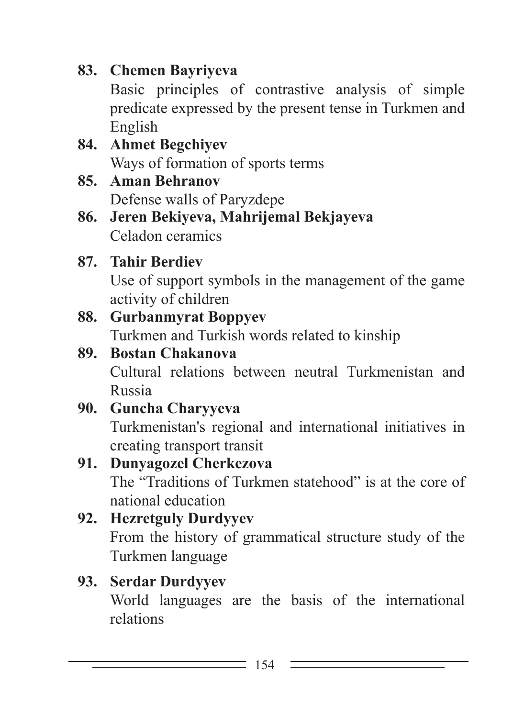#### **83. Chemen Bayriyeva**

Basic principles of contrastive analysis of simple predicate expressed by the present tense in Turkmen and English

- **84. Ahmet Begchiyev** Ways of formation of sports terms
- **85. Aman Behranov** Defense walls of Paryzdepe
- **86. Jeren Bekiyeva, Mahrijemal Bekjayeva** Celadon ceramics

# **87. Tahir Berdiev**

Use of support symbols in the management of the game activity of children

# **88. Gurbanmyrat Boppyev**

Turkmen and Turkish words related to kinship

# **89. Bostan Chakanova**

Cultural relations between neutral Turkmenistan and Russia

## **90. Guncha Charyyeva**

Turkmenistan's regional and international initiatives in creating transport transit

# **91. Dunyagozel Cherkezova**

The "Traditions of Turkmen statehood" is at the core of national education

## **92. Hezretguly Durdyyev**

From the history of grammatical structure study of the Turkmen language

## **93. Serdar Durdyyev**

World languages are the basis of the international relations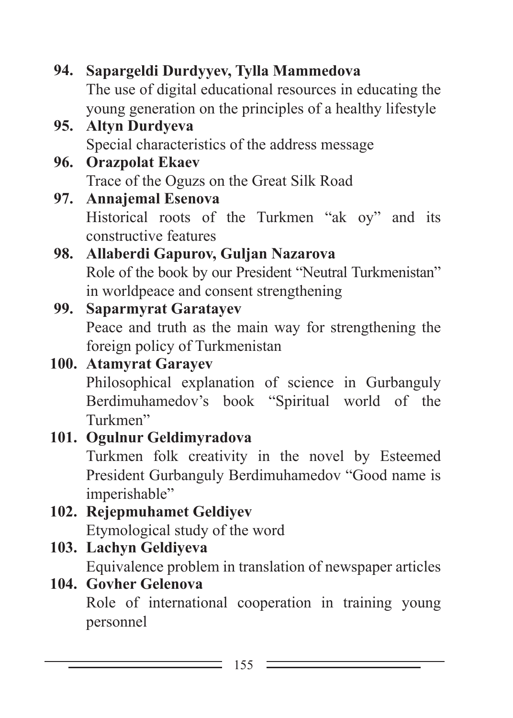**94. Sapargeldi Durdyyev, Tylla Mammedova** The use of digital educational resources in educating the young generation on the principles of a healthy lifestyle **95. Altyn Durdyeva** Special characteristics of the address message **96. Orazpolat Ekaev** Trace of the Oguzs on the Great Silk Road **97. Annajemal Esenova** Historical roots of the Turkmen "ak oy" and its constructive features **98. Allaberdi Gapurov, Guljan Nazarova** Role of the book by our President "Neutral Turkmenistan" in worldpeace and consent strengthening **99. Saparmyrat Garatayev** Peace and truth as the main way for strengthening the foreign policy of Turkmenistan **100. Atamyrat Garayev** Philosophical explanation of science in Gurbanguly Berdimuhamedov's book "Spiritual world of the Turkmen" **101. Ogulnur Geldimyradova** Turkmen folk creativity in the novel by Esteemed President Gurbanguly Berdimuhamedov "Good name is imperishable" **102. Rejepmuhamet Geldiyev** Etymological study of the word **103. Lachyn Geldiyeva** Equivalence problem in translation of newspaper articles **104. Govher Gelenova** Role of international cooperation in training young personnel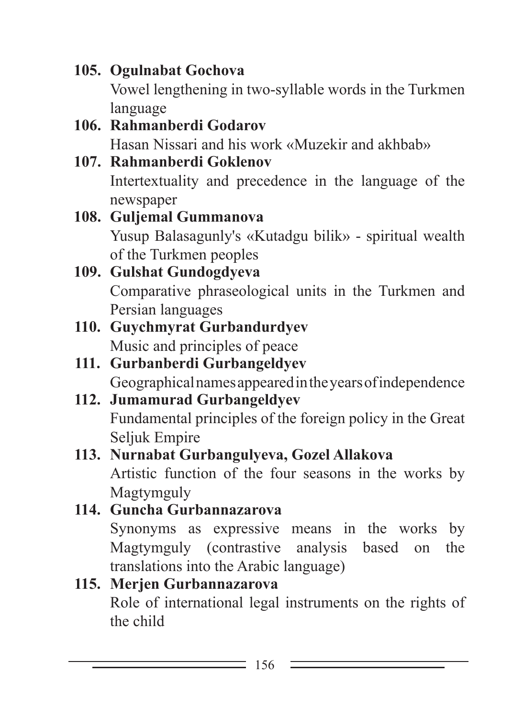**105. Ogulnabat Gochova** Vowel lengthening in two-syllable words in the Turkmen language

- **106. Rahmanberdi Godarov** Hasan Nissari and his work «Muzekir and akhbab»
- **107. Rahmanberdi Goklenov** Intertextuality and precedence in the language of the newspaper
- **108. Guljemal Gummanova** Yusup Balasagunly's «Kutadgu bilik» - spiritual wealth of the Turkmen peoples
- **109. Gulshat Gundogdyeva** Comparative phraseological units in the Turkmen and Persian languages
- **110. Guychmyrat Gurbandurdyev** Music and principles of peace
- **111. Gurbanberdi Gurbangeldyev** Geographical names appeared in the years of independence
- **112. Jumamurad Gurbangeldyev** Fundamental principles of the foreign policy in the Great Seljuk Empire
- **113. Nurnabat Gurbangulyeva, Gozel Allakova** Artistic function of the four seasons in the works by Magtymguly
- **114. Guncha Gurbannazarova** Synonyms as expressive means in the works by Magtymguly (contrastive analysis based on the translations into the Arabic language)

#### **115. Merjen Gurbannazarova** Role of international legal instruments on the rights of the child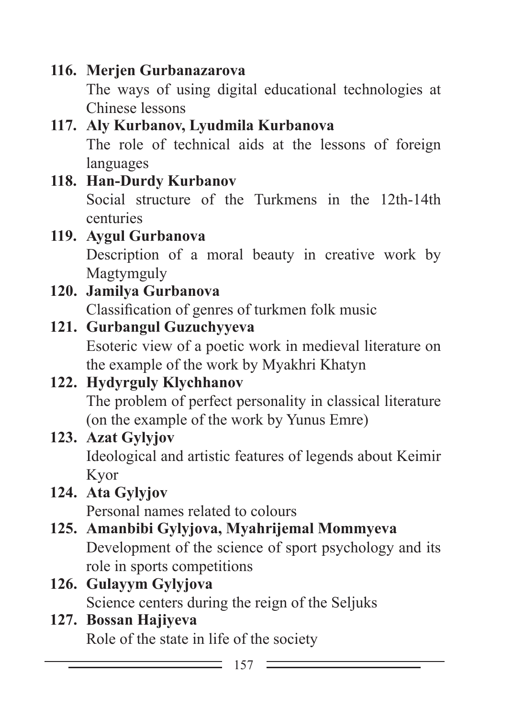#### **116. Merjen Gurbanazarova**

The ways of using digital educational technologies at Chinese lessons

# **117. Aly Kurbanov, Lyudmila Kurbanova**

The role of technical aids at the lessons of foreign languages

## **118. Han-Durdy Kurbanov**

Social structure of the Turkmens in the 12th-14th centuries

### **119. Aygul Gurbanova**

Description of a moral beauty in creative work by Magtymguly

# **120. Jamilya Gurbanova**

Classification of genres of turkmen folk music

## **121. Gurbangul Guzuchyyeva**

Esoteric view of a poetic work in medieval literature on the example of the work by Myakhri Khatyn

# **122. Hydyrguly Klychhanov**

The problem of perfect personality in classical literature (on the example of the work by Yunus Emre)

#### **123. Azat Gylyjov**

Ideological and artistic features of legends about Keimir Kyor

# **124. Ata Gylyjov**

Personal names related to colours

# **125. Amanbibi Gylyjova, Myahrijemal Mommyeva**

Development of the science of sport psychology and its role in sports competitions

#### **126. Gulayym Gylyjova** Science centers during the reign of the Seljuks

#### **127. Bossan Hajiyeva** Role of the state in life of the society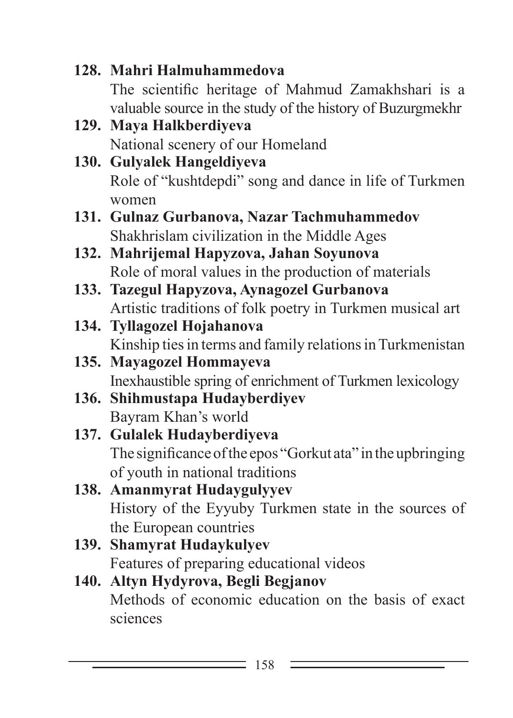**128. Mahri Halmuhammedova** The scientific heritage of Mahmud Zamakhshari is a valuable source in the study of the history of Buzurgmekhr **129. Maya Halkberdiyeva** National scenery of our Homeland **130. Gulyalek Hangeldiyeva** Role of "kushtdepdi" song and dance in life of Turkmen women **131. Gulnaz Gurbanova, Nazar Tachmuhammedov** Shakhrislam civilization in the Middle Ages **132. Mahrijemal Hapyzova, Jahan Soyunova** Role of moral values in the production of materials **133. Tazegul Hapyzova, Aynagozel Gurbanova** Artistic traditions of folk poetry in Turkmen musical art **134. Tyllagozel Hojahanova** Kinship ties in terms and family relations in Turkmenistan **135. Mayagozel Hommayeva** Inexhaustible spring of enrichment of Turkmen lexicology **136. Shihmustapa Hudayberdiyev** Bayram Khan's world **137. Gulalek Hudayberdiyeva** The significance of the epos "Gorkut ata" in the upbringing of youth in national traditions **138. Amanmyrat Hudaygulyyev** History of the Eyyuby Turkmen state in the sources of the European countries **139. Shamyrat Hudaykulyev** Features of preparing educational videos **140. Altyn Hydyrova, Begli Begjanov** Methods of economic education on the basis of exact sciences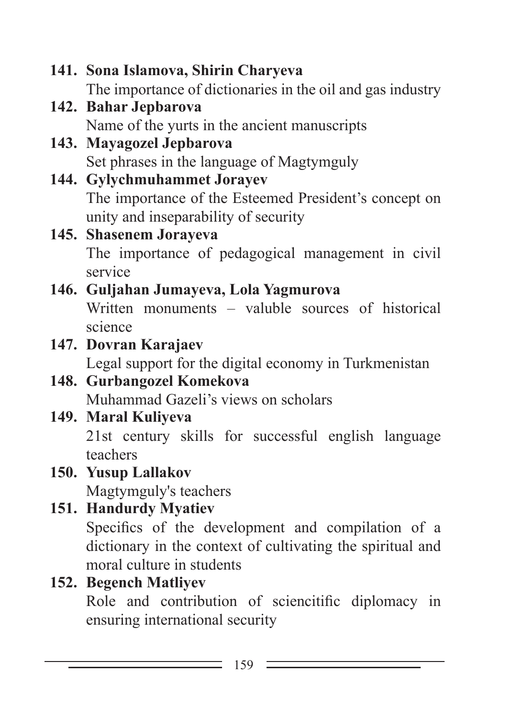```
141. Sona Islamova, Shirin Charyeva
     The importance of dictionaries in the oil and gas industry
142. Bahar Jepbarova
     Name of the yurts in the ancient manuscripts
143. Mayagozel Jepbarova
     Set phrases in the language of Magtymguly
144. Gylychmuhammet Jorayev
     The importance of the Esteemed President's concept on 
     unity and inseparability of security
145. Shasenem Jorayeva
     The importance of pedagogical management in civil 
     service
146. Guljahan Jumayeva, Lola Yagmurova
     Written monuments – valuble sources of historical 
     science
147. Dovran Karajaev
     Legal support for the digital economy in Turkmenistan
148. Gurbangozel Komekova
     Muhammad Gazeli's views on scholars
149. Maral Kuliyeva
     21st century skills for successful english language 
     teachers
150. Yusup Lallakov
     Magtymguly's teachers
151. Handurdy Myatiev
     Specifics of the development and compilation of a 
     dictionary in the context of cultivating the spiritual and 
     moral culture in students
152. Begench Matliyev
     Role and contribution of sciencitific diplomacy in 
     ensuring international security
```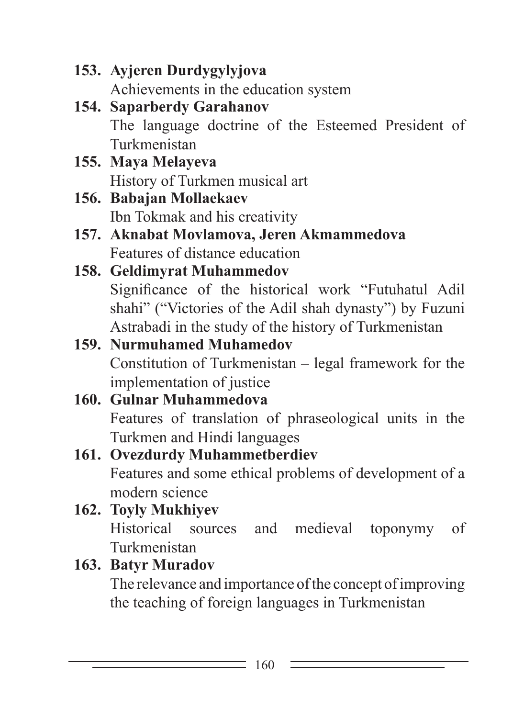- **153. Ayjeren Durdygylyjova** Achievements in the education system
- **154. Saparberdy Garahanov** The language doctrine of the Esteemed President of Turkmenistan
- **155. Maya Melayeva** History of Turkmen musical art
- **156. Babajan Mollaekaev** Ibn Tokmak and his creativity
- **157. Aknabat Movlamova, Jeren Akmammedova** Features of distance education

### **158. Geldimyrat Muhammedov** Significance of the historical work "Futuhatul Adil shahi" ("Victories of the Adil shah dynasty") by Fuzuni Astrabadi in the study of the history of Turkmenistan

### **159. Nurmuhamed Muhamedov** Constitution of Turkmenistan – legal framework for the implementation of justice

#### **160. Gulnar Muhammedova** Features of translation of phraseological units in the Turkmen and Hindi languages

## **161. Ovezdurdy Muhammetberdiev** Features and some ethical problems of development of a modern science

### **162. Toyly Mukhiyev** Historical sources and medieval toponymy of Turkmenistan

## **163. Batyr Muradov**

The relevance and importance of the concept of improving the teaching of foreign languages in Turkmenistan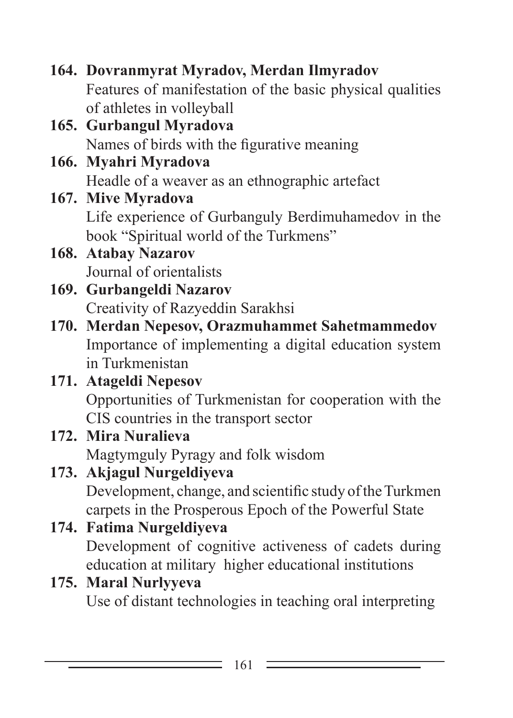**164. Dovranmyrat Myradov, Merdan Ilmyradov** Features of manifestation of the basic physical qualities of athletes in volleyball **165. Gurbangul Myradova** Names of birds with the figurative meaning **166. Myahri Myradova** Headle of a weaver as an ethnographic artefact **167. Mive Myradova** Life experience of Gurbanguly Berdimuhamedov in the book "Spiritual world of the Turkmens" **168. Atabay Nazarov** Journal of orientalists **169. Gurbangeldi Nazarov** Creativity of Razyeddin Sarakhsi **170. Merdan Nepesov, Orazmuhammet Sahetmammedov** Importance of implementing a digital education system in Turkmenistan **171. Atageldi Nepesov** Opportunities of Turkmenistan for cooperation with the CIS countries in the transport sector **172. Mira Nuralieva** Magtymguly Pyragy and folk wisdom **173. Akjagul Nurgeldiyeva** Development, change, and scientific study of the Turkmen carpets in the Prosperous Epoch of the Powerful State **174. Fatima Nurgeldiyeva** Development of cognitive activeness of cadets during education at military higher educational institutions **175. Maral Nurlyyeva** Use of distant technologies in teaching oral interpreting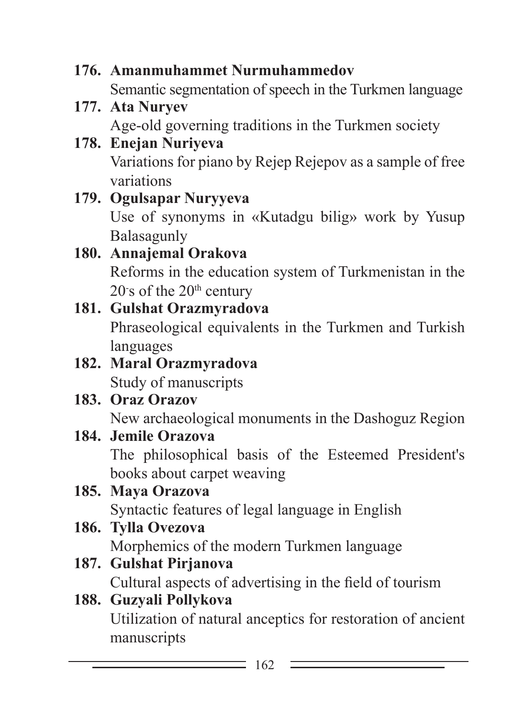- **176. Amanmuhammet Nurmuhammedov** Semantic segmentation of speech in the Turkmen language
- **177. Ata Nuryev** Age-old governing traditions in the Turkmen society
- **178. Enejan Nuriyeva** Variations for piano by Rejep Rejepov as a sample of free variations
- **179. Ogulsapar Nuryyeva** Use of synonyms in «Kutadgu bilig» work by Yusup Balasagunly

### **180. Annajemal Orakova** Reforms in the education system of Turkmenistan in the  $20$ <sup>-</sup>s of the  $20<sup>th</sup>$  century

#### **181. Gulshat Orazmyradova** Phraseological equivalents in the Turkmen and Turkish languages

### **182. Maral Orazmyradova** Study of manuscripts

## **183. Oraz Orazov**

New archaeological monuments in the Dashoguz Region

## **184. Jemile Orazova**

The philosophical basis of the Esteemed President's books about carpet weaving

# **185. Maya Orazova**

Syntactic features of legal language in English

## **186. Tylla Ovezova**

Morphemics of the modern Turkmen language

## **187. Gulshat Pirjanova**

Cultural aspects of advertising in the field of tourism

### **188. Guzyali Pollykova**

Utilization of natural anceptics for restoration of ancient manuscripts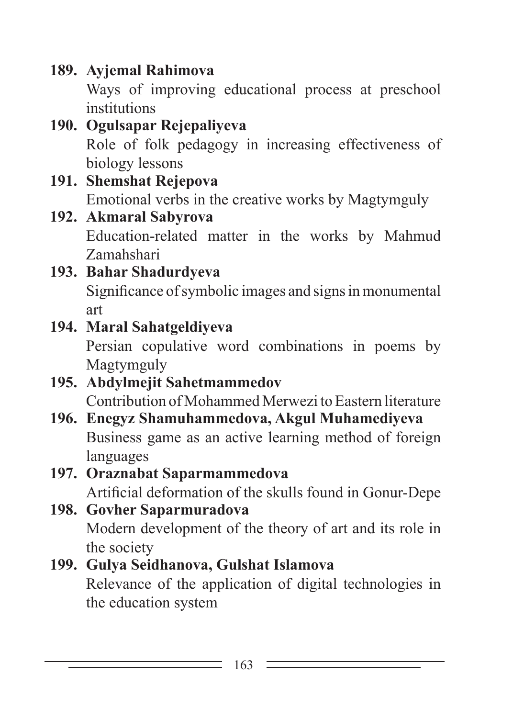## **189. Ayjemal Rahimova**

Ways of improving educational process at preschool institutions

### **190. Ogulsapar Rejepaliyeva** Role of folk pedagogy in increasing effectiveness of biology lessons

## **191. Shemshat Rejepova** Emotional verbs in the creative works by Magtymguly

### **192. Akmaral Sabyrova** Education-related matter in the works by Mahmud Zamahshari

#### **193. Bahar Shadurdyeva** Significance of symbolic images and signs in monumental art

## **194. Maral Sahatgeldiyeva**

Persian copulative word combinations in poems by Magtymguly

## **195. Abdylmejit Sahetmammedov** Contribution of Mohammed Merwezi to Eastern literature

**196. Enegyz Shamuhammedova, Akgul Muhamediyeva** Business game as an active learning method of foreign languages

# **197. Oraznabat Saparmammedova**

Artificial deformation of the skulls found in Gonur-Depe

### **198. Govher Saparmuradova** Modern development of the theory of art and its role in the society

## **199. Gulya Seidhanova, Gulshat Islamova**

Relevance of the application of digital technologies in the education system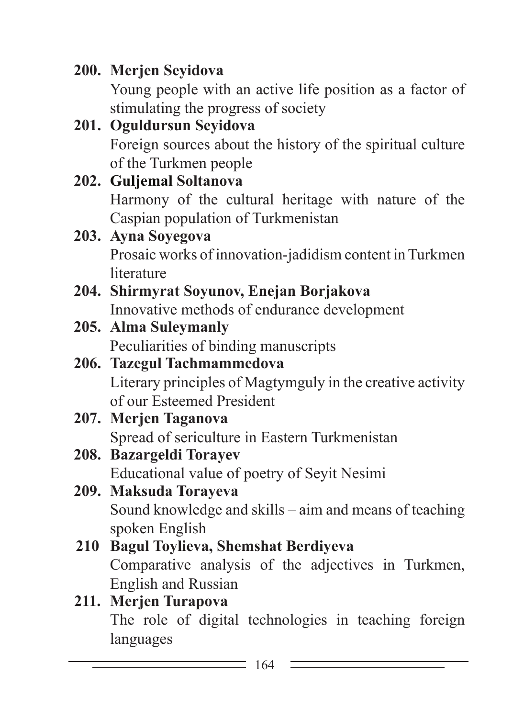## **200. Merjen Seyidova**

Young people with an active life position as a factor of stimulating the progress of society

#### **201. Oguldursun Seyidova** Foreign sources about the history of the spiritual culture of the Turkmen people

#### **202. Guljemal Soltanova** Harmony of the cultural heritage with nature of the Caspian population of Turkmenistan **203. Ayna Soyegova**

# Prosaic works of innovation-jadidism content in Turkmen **literature**

### **204. Shirmyrat Soyunov, Enejan Borjakova** Innovative methods of endurance development

### **205. Alma Suleymanly** Peculiarities of binding manuscripts

### **206. Tazegul Tachmammedova** Literary principles of Magtymguly in the creative activity of our Esteemed President

#### **207. Merjen Taganova** Spread of sericulture in Eastern Turkmenistan

## **208. Bazargeldi Torayev**

Educational value of poetry of Seyit Nesimi

# **209. Maksuda Torayeva**

Sound knowledge and skills – aim and means of teaching spoken English

#### **210 Bagul Toylieva, Shemshat Berdiyeva** Comparative analysis of the adjectives in Turkmen, English and Russian

### **211. Merjen Turapova**

The role of digital technologies in teaching foreign languages